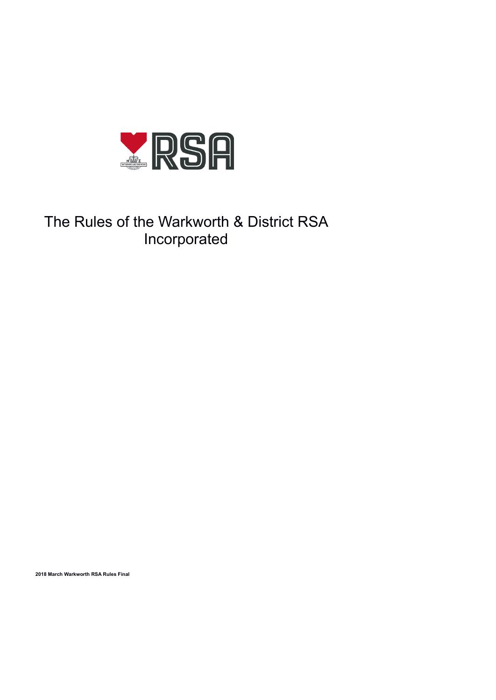

# The Rules of the Warkworth & District RSA Incorporated

**2018 March Warkworth RSA Rules Final**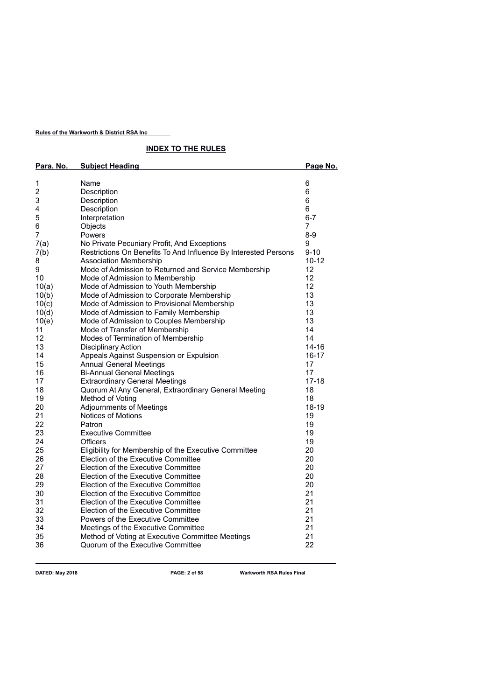# **INDEX TO THE RULES**

| Para. No.        | <b>Subject Heading</b>                                          | Page No.  |
|------------------|-----------------------------------------------------------------|-----------|
|                  |                                                                 |           |
| 1                | Name                                                            | 6         |
| $\boldsymbol{2}$ | Description                                                     | 6         |
| 3                | Description                                                     | 6         |
| 4                | Description                                                     | 6         |
| 5                | Interpretation                                                  | $6 - 7$   |
| 6                | Objects                                                         | 7         |
| 7                | Powers                                                          | $8 - 9$   |
| 7(a)             | No Private Pecuniary Profit, And Exceptions                     | 9         |
| 7(b)             | Restrictions On Benefits To And Influence By Interested Persons | $9 - 10$  |
| 8                | <b>Association Membership</b>                                   | $10 - 12$ |
| 9                | Mode of Admission to Returned and Service Membership            | 12        |
| 10               | Mode of Admission to Membership                                 | 12        |
| 10(a)            | Mode of Admission to Youth Membership                           | 12        |
| 10(b)            | Mode of Admission to Corporate Membership                       | 13        |
| 10(c)            | Mode of Admission to Provisional Membership                     | 13        |
| 10(d)            | Mode of Admission to Family Membership                          | 13        |
| 10(e)            | Mode of Admission to Couples Membership                         | 13        |
| 11               | Mode of Transfer of Membership                                  | 14        |
| 12               | Modes of Termination of Membership                              | 14        |
| 13               | <b>Disciplinary Action</b>                                      | $14 - 16$ |
| 14               | Appeals Against Suspension or Expulsion                         | 16-17     |
| 15               | <b>Annual General Meetings</b>                                  | 17        |
| 16               | <b>Bi-Annual General Meetings</b>                               | 17        |
| 17               | <b>Extraordinary General Meetings</b>                           | $17 - 18$ |
| 18               | Quorum At Any General, Extraordinary General Meeting            | 18        |
| 19               | Method of Voting                                                | 18        |
| 20               | <b>Adjournments of Meetings</b>                                 | 18-19     |
| 21               | Notices of Motions                                              | 19        |
| 22               | Patron                                                          | 19        |
| 23               | <b>Executive Committee</b>                                      | 19        |
| 24               | <b>Officers</b>                                                 | 19        |
| 25               | Eligibility for Membership of the Executive Committee           | 20        |
| 26               | Election of the Executive Committee                             | 20        |
| 27               | Election of the Executive Committee                             | 20        |
| 28               | Election of the Executive Committee                             | 20        |
| 29               | <b>Election of the Executive Committee</b>                      | 20        |
| 30               | Election of the Executive Committee                             | 21        |
| 31               | Election of the Executive Committee                             | 21        |
| 32               | Election of the Executive Committee                             | 21        |
| 33               | Powers of the Executive Committee                               | 21        |
| 34               | Meetings of the Executive Committee                             | 21        |
| 35               | Method of Voting at Executive Committee Meetings                | 21        |
| 36               | Quorum of the Executive Committee                               | 22        |

**DATED: May 2018 PAGE: 2 of 58 Warkworth RSA Rules Final**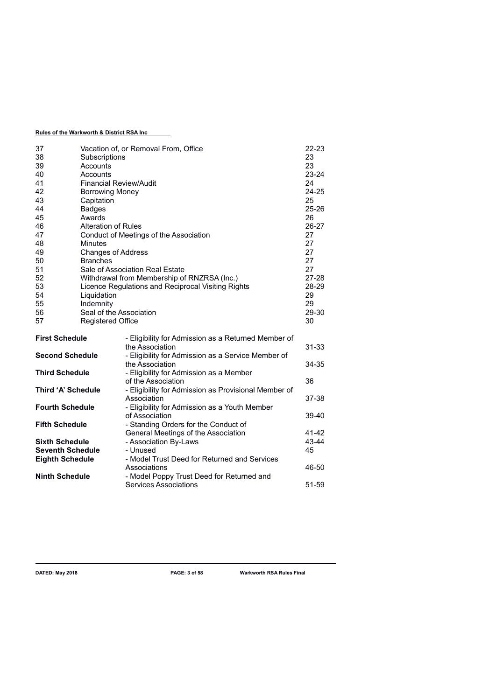| 37<br>38<br>39<br>40<br>41<br>42<br>43<br>44<br>45<br>46<br>47<br>48<br>49 | Subscriptions<br>Accounts<br>Accounts<br><b>Financial Review/Audit</b><br><b>Borrowing Money</b><br>Capitation<br><b>Badges</b><br>Awards<br><b>Alteration of Rules</b><br><b>Minutes</b><br><b>Changes of Address</b> | Vacation of, or Removal From, Office<br>Conduct of Meetings of the Association | $22 - 23$<br>23<br>23<br>$23 - 24$<br>24<br>$24 - 25$<br>25<br>$25 - 26$<br>26<br>26-27<br>27<br>27<br>27 |
|----------------------------------------------------------------------------|------------------------------------------------------------------------------------------------------------------------------------------------------------------------------------------------------------------------|--------------------------------------------------------------------------------|-----------------------------------------------------------------------------------------------------------|
| 50                                                                         | <b>Branches</b>                                                                                                                                                                                                        |                                                                                | 27                                                                                                        |
| 51                                                                         |                                                                                                                                                                                                                        | Sale of Association Real Estate                                                | 27                                                                                                        |
| 52                                                                         |                                                                                                                                                                                                                        | Withdrawal from Membership of RNZRSA (Inc.)                                    | 27-28                                                                                                     |
| 53                                                                         |                                                                                                                                                                                                                        | Licence Regulations and Reciprocal Visiting Rights                             | 28-29                                                                                                     |
| 54                                                                         | Liquidation                                                                                                                                                                                                            |                                                                                | 29                                                                                                        |
| 55                                                                         | Indemnity                                                                                                                                                                                                              |                                                                                | 29                                                                                                        |
| 56                                                                         | Seal of the Association                                                                                                                                                                                                |                                                                                | 29-30                                                                                                     |
| 57                                                                         | <b>Registered Office</b>                                                                                                                                                                                               |                                                                                | 30                                                                                                        |
| <b>First Schedule</b>                                                      |                                                                                                                                                                                                                        | - Eligibility for Admission as a Returned Member of<br>the Association         | 31-33                                                                                                     |
| <b>Second Schedule</b>                                                     |                                                                                                                                                                                                                        | - Eligibility for Admission as a Service Member of<br>the Association          | 34-35                                                                                                     |
| <b>Third Schedule</b>                                                      |                                                                                                                                                                                                                        | - Eligibility for Admission as a Member                                        |                                                                                                           |
|                                                                            |                                                                                                                                                                                                                        | of the Association                                                             | 36                                                                                                        |
| Third 'A' Schedule                                                         |                                                                                                                                                                                                                        | - Eligibility for Admission as Provisional Member of<br>Association            | 37-38                                                                                                     |
| <b>Fourth Schedule</b>                                                     |                                                                                                                                                                                                                        | - Eligibility for Admission as a Youth Member                                  |                                                                                                           |
|                                                                            |                                                                                                                                                                                                                        | of Association                                                                 | 39-40                                                                                                     |
| <b>Fifth Schedule</b>                                                      |                                                                                                                                                                                                                        | - Standing Orders for the Conduct of                                           |                                                                                                           |
|                                                                            |                                                                                                                                                                                                                        | General Meetings of the Association                                            | 41-42                                                                                                     |
| <b>Sixth Schedule</b>                                                      |                                                                                                                                                                                                                        | - Association By-Laws                                                          | 43-44                                                                                                     |
| <b>Seventh Schedule</b>                                                    |                                                                                                                                                                                                                        | - Unused                                                                       | 45                                                                                                        |
| <b>Eighth Schedule</b>                                                     |                                                                                                                                                                                                                        | - Model Trust Deed for Returned and Services                                   |                                                                                                           |
|                                                                            |                                                                                                                                                                                                                        | Associations                                                                   | 46-50                                                                                                     |
| <b>Ninth Schedule</b>                                                      |                                                                                                                                                                                                                        | - Model Poppy Trust Deed for Returned and                                      |                                                                                                           |
|                                                                            |                                                                                                                                                                                                                        | <b>Services Associations</b>                                                   | 51-59                                                                                                     |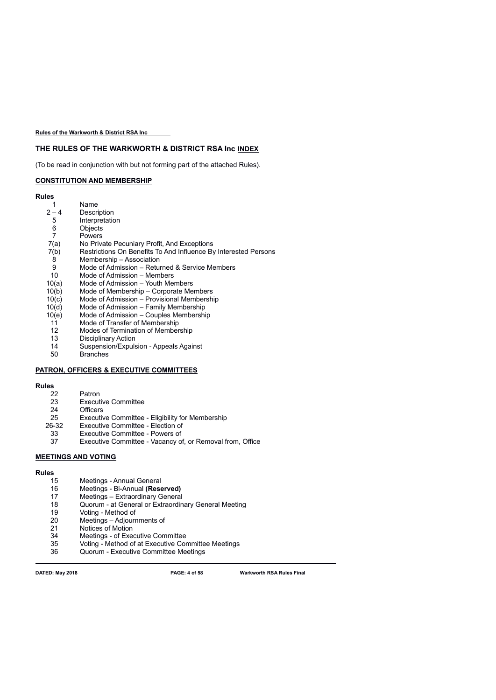# **THE RULES OF THE WARKWORTH & DISTRICT RSA Inc INDEX**

(To be read in conjunction with but not forming part of the attached Rules).

# **CONSTITUTION AND MEMBERSHIP**

**Rules**

| 1                | Name                                                            |
|------------------|-----------------------------------------------------------------|
| $2 - 4$          | Description                                                     |
| 5                | Interpretation                                                  |
| 6                | Objects                                                         |
| $\overline{7}$   | Powers                                                          |
| 7(a)             | No Private Pecuniary Profit, And Exceptions                     |
| 7(b)             | Restrictions On Benefits To And Influence By Interested Persons |
| 8                | Membership - Association                                        |
| 9                | Mode of Admission – Returned & Service Members                  |
| 10               | Mode of Admission – Members                                     |
| 10(a)            | Mode of Admission - Youth Members                               |
| 10(b)            | Mode of Membership – Corporate Members                          |
| 10(c)            | Mode of Admission – Provisional Membership                      |
| 10(d)            | Mode of Admission – Family Membership                           |
| 10(e)            | Mode of Admission – Couples Membership                          |
| 11               | Mode of Transfer of Membership                                  |
| 12 <sup>12</sup> | Modes of Termination of Membership                              |
| 13               | <b>Disciplinary Action</b>                                      |
| 14               | Suspension/Expulsion - Appeals Against                          |
| 50               | <b>Branches</b>                                                 |

# **PATRON, OFFICERS & EXECUTIVE COMMITTEES**

**Rules**

| 22 | Patron |  |
|----|--------|--|
|    |        |  |

- 23 Executive Committee<br>24 Officers
- 24 Officers<br>25 Executiv
- 25 Executive Committee Eligibility for Membership<br>26-32 Executive Committee Election of
- Executive Committee Election of
- 
- 33 Executive Committee Powers of<br>37 Executive Committee Vacancy of Executive Committee - Vacancy of, or Removal from, Office

## **MEETINGS AND VOTING**

# **Rules**

- 15 Meetings Annual General<br>16 Meetings Bi-Annual (Rese
- 16 Meetings Bi-Annual **(Reserved)**
- 17 Meetings Extraordinary General<br>18 Quorum at General or Extraordin
- Quorum at General or Extraordinary General Meeting
- 19 Voting Method of<br>20 Meetings Adjourr
- 20 Meetings Adjournments of<br>21 Notices of Motion
- 21 Notices of Motion<br>34 Meetings of Exer
- 34 Meetings of Executive Committee<br>35 Voting Method of at Executive Cor
- Voting Method of at Executive Committee Meetings
- 36 Quorum Executive Committee Meetings

**DATED: May 2018 PAGE: 4 of 58 Warkworth RSA Rules Final**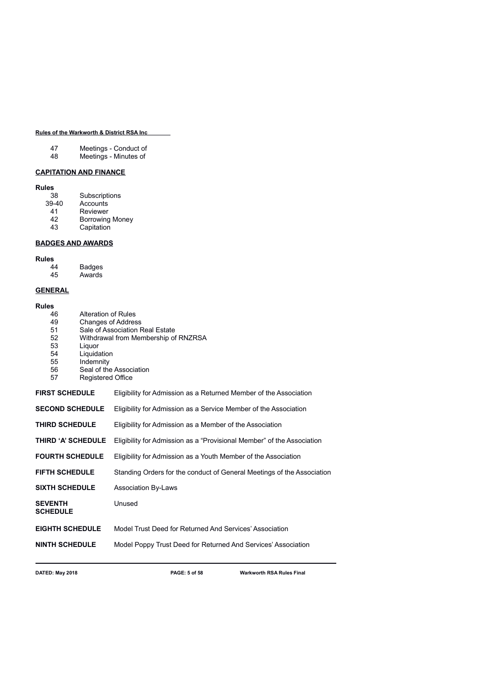| 47                 | Meetings - Conduct of |
|--------------------|-----------------------|
| $\Lambda$ $\Omega$ | Maatinga Minited      |

48 Meetings - Minutes of

# **CAPITATION AND FINANCE**

# **Rules**

| Subscriptions          |
|------------------------|
| Accounts               |
| Reviewer               |
| <b>Borrowing Money</b> |
|                        |

43 Capitation

# **BADGES AND AWARDS**

# **Rules**

| 44 | <b>Badges</b> |
|----|---------------|
| 45 | Awards        |

# **GENERAL**

### **Rules**

| <b>Rules</b>                      |                          |                                                                        |
|-----------------------------------|--------------------------|------------------------------------------------------------------------|
| 46                                | Alteration of Rules      |                                                                        |
| 49                                |                          | <b>Changes of Address</b>                                              |
| 51                                |                          | Sale of Association Real Estate                                        |
| 52                                |                          | Withdrawal from Membership of RNZRSA                                   |
| 53                                | Liquor                   |                                                                        |
| 54                                | Liquidation              |                                                                        |
| 55                                | Indemnity                |                                                                        |
| 56                                |                          | Seal of the Association                                                |
| 57                                | <b>Registered Office</b> |                                                                        |
| <b>FIRST SCHEDULE</b>             |                          | Eligibility for Admission as a Returned Member of the Association      |
| <b>SECOND SCHEDULE</b>            |                          | Eligibility for Admission as a Service Member of the Association       |
| <b>THIRD SCHEDULE</b>             |                          | Eligibility for Admission as a Member of the Association               |
| <b>THIRD 'A' SCHEDULE</b>         |                          | Eligibility for Admission as a "Provisional Member" of the Association |
| <b>FOURTH SCHEDULE</b>            |                          | Eligibility for Admission as a Youth Member of the Association         |
| <b>FIFTH SCHEDULE</b>             |                          | Standing Orders for the conduct of General Meetings of the Association |
| <b>SIXTH SCHEDULE</b>             |                          | <b>Association By-Laws</b>                                             |
| <b>SEVENTH</b><br><b>SCHEDULE</b> |                          | Unused                                                                 |
| <b>EIGHTH SCHEDULE</b>            |                          | Model Trust Deed for Returned And Services' Association                |
| <b>NINTH SCHEDULE</b>             |                          | Model Poppy Trust Deed for Returned And Services' Association          |
|                                   |                          |                                                                        |

**DATED: May 2018 PAGE: 5 of 58 Warkworth RSA Rules Final**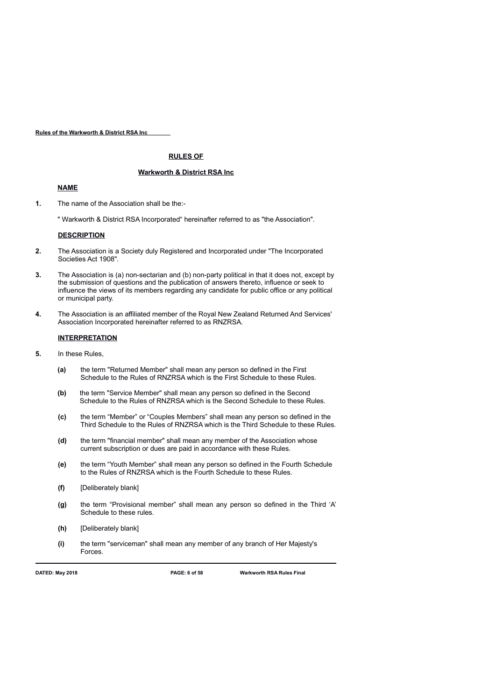### **RULES OF**

### **Warkworth & District RSA Inc**

### **NAME**

- **1.** The name of the Association shall be the:-
	- " Warkworth & District RSA Incorporated" hereinafter referred to as "the Association".

### **DESCRIPTION**

- **2.** The Association is a Society duly Registered and Incorporated under "The Incorporated Societies Act 1908".
- **3.** The Association is (a) non-sectarian and (b) non-party political in that it does not, except by the submission of questions and the publication of answers thereto, influence or seek to influence the views of its members regarding any candidate for public office or any political or municipal party.
- **4.** The Association is an affiliated member of the Royal New Zealand Returned And Services' Association Incorporated hereinafter referred to as RNZRSA.

## **INTERPRETATION**

- **5.** In these Rules,
	- **(a)** the term "Returned Member" shall mean any person so defined in the First Schedule to the Rules of RNZRSA which is the First Schedule to these Rules.
	- **(b)** the term "Service Member" shall mean any person so defined in the Second Schedule to the Rules of RNZRSA which is the Second Schedule to these Rules.
	- **(c)** the term "Member" or "Couples Members" shall mean any person so defined in the Third Schedule to the Rules of RNZRSA which is the Third Schedule to these Rules.
	- **(d)** the term "financial member" shall mean any member of the Association whose current subscription or dues are paid in accordance with these Rules.
	- **(e)** the term "Youth Member" shall mean any person so defined in the Fourth Schedule to the Rules of RNZRSA which is the Fourth Schedule to these Rules.
	- **(f)** [Deliberately blank]
	- **(g)** the term "Provisional member" shall mean any person so defined in the Third 'A' Schedule to these rules.
	- **(h)** [Deliberately blank]
	- **(i)** the term "serviceman" shall mean any member of any branch of Her Majesty's Forces.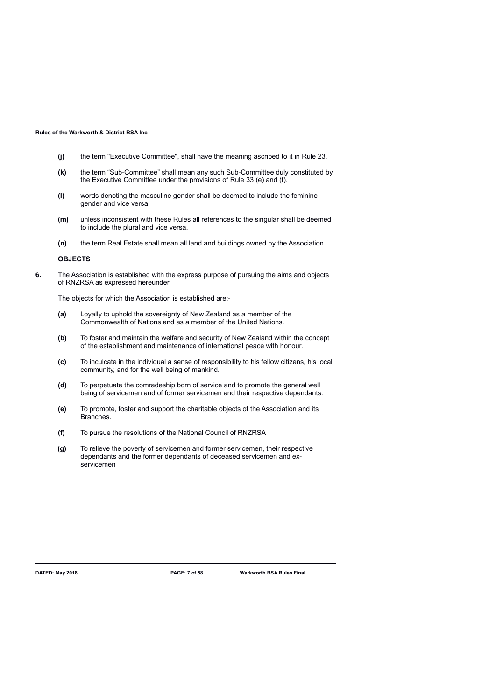- **(j)** the term "Executive Committee", shall have the meaning ascribed to it in Rule 23.
- **(k)** the term "Sub-Committee" shall mean any such Sub-Committee duly constituted by the Executive Committee under the provisions of Rule 33 (e) and (f).
- **(l)** words denoting the masculine gender shall be deemed to include the feminine gender and vice versa.
- **(m)** unless inconsistent with these Rules all references to the singular shall be deemed to include the plural and vice versa.
- **(n)** the term Real Estate shall mean all land and buildings owned by the Association.

### **OBJECTS**

**6.** The Association is established with the express purpose of pursuing the aims and objects of RNZRSA as expressed hereunder.

The objects for which the Association is established are:-

- **(a)** Loyally to uphold the sovereignty of New Zealand as a member of the Commonwealth of Nations and as a member of the United Nations.
- **(b)** To foster and maintain the welfare and security of New Zealand within the concept of the establishment and maintenance of international peace with honour.
- **(c)** To inculcate in the individual a sense of responsibility to his fellow citizens, his local community, and for the well being of mankind.
- **(d)** To perpetuate the comradeship born of service and to promote the general well being of servicemen and of former servicemen and their respective dependants.
- **(e)** To promote, foster and support the charitable objects of the Association and its Branches.
- **(f)** To pursue the resolutions of the National Council of RNZRSA
- **(g)** To relieve the poverty of servicemen and former servicemen, their respective dependants and the former dependants of deceased servicemen and exservicemen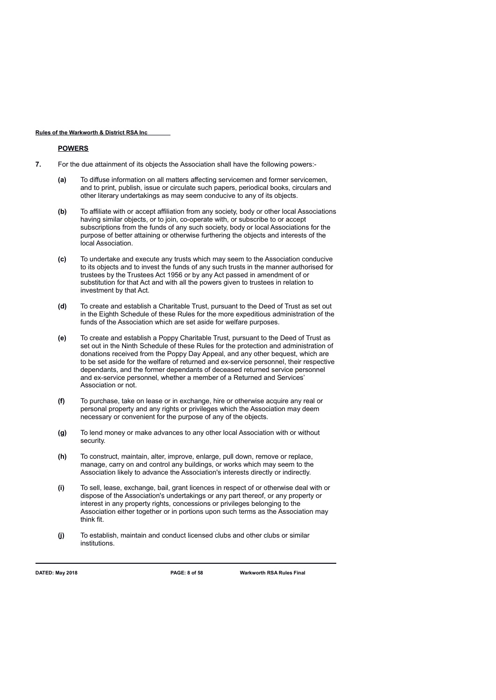### **POWERS**

- **7.** For the due attainment of its objects the Association shall have the following powers:-
	- **(a)** To diffuse information on all matters affecting servicemen and former servicemen, and to print, publish, issue or circulate such papers, periodical books, circulars and other literary undertakings as may seem conducive to any of its objects.
	- **(b)** To affiliate with or accept affiliation from any society, body or other local Associations having similar objects, or to join, co-operate with, or subscribe to or accept subscriptions from the funds of any such society, body or local Associations for the purpose of better attaining or otherwise furthering the objects and interests of the local Association.
	- **(c)** To undertake and execute any trusts which may seem to the Association conducive to its objects and to invest the funds of any such trusts in the manner authorised for trustees by the Trustees Act 1956 or by any Act passed in amendment of or substitution for that Act and with all the powers given to trustees in relation to investment by that Act.
	- **(d)** To create and establish a Charitable Trust, pursuant to the Deed of Trust as set out in the Eighth Schedule of these Rules for the more expeditious administration of the funds of the Association which are set aside for welfare purposes.
	- **(e)** To create and establish a Poppy Charitable Trust, pursuant to the Deed of Trust as set out in the Ninth Schedule of these Rules for the protection and administration of donations received from the Poppy Day Appeal, and any other bequest, which are to be set aside for the welfare of returned and ex-service personnel, their respective dependants, and the former dependants of deceased returned service personnel and ex-service personnel, whether a member of a Returned and Services' Association or not.
	- **(f)** To purchase, take on lease or in exchange, hire or otherwise acquire any real or personal property and any rights or privileges which the Association may deem necessary or convenient for the purpose of any of the objects.
	- **(g)** To lend money or make advances to any other local Association with or without security.
	- **(h)** To construct, maintain, alter, improve, enlarge, pull down, remove or replace, manage, carry on and control any buildings, or works which may seem to the Association likely to advance the Association's interests directly or indirectly.
	- **(i)** To sell, lease, exchange, bail, grant licences in respect of or otherwise deal with or dispose of the Association's undertakings or any part thereof, or any property or interest in any property rights, concessions or privileges belonging to the Association either together or in portions upon such terms as the Association may think fit.
	- **(j)** To establish, maintain and conduct licensed clubs and other clubs or similar institutions.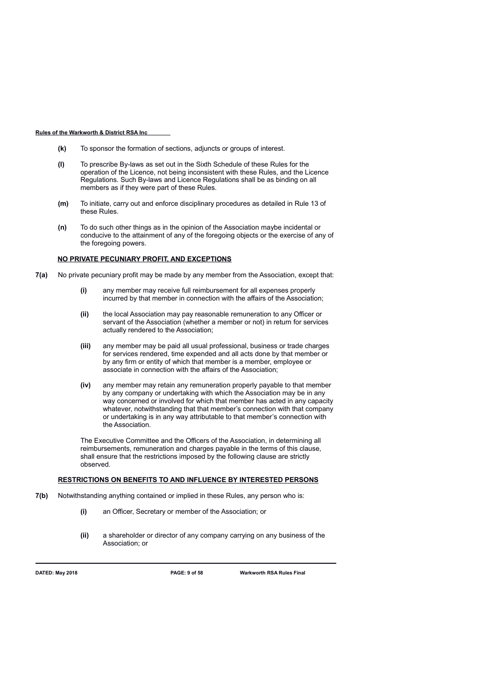- **(k)** To sponsor the formation of sections, adjuncts or groups of interest.
- **(l)** To prescribe By-laws as set out in the Sixth Schedule of these Rules for the operation of the Licence, not being inconsistent with these Rules, and the Licence Regulations. Such By-laws and Licence Regulations shall be as binding on all members as if they were part of these Rules.
- **(m)** To initiate, carry out and enforce disciplinary procedures as detailed in Rule 13 of these Rules.
- **(n)** To do such other things as in the opinion of the Association maybe incidental or conducive to the attainment of any of the foregoing objects or the exercise of any of the foregoing powers.

## **NO PRIVATE PECUNIARY PROFIT, AND EXCEPTIONS**

- **7(a)** No private pecuniary profit may be made by any member from the Association, except that:
	- **(i)** any member may receive full reimbursement for all expenses properly incurred by that member in connection with the affairs of the Association;
	- **(ii)** the local Association may pay reasonable remuneration to any Officer or servant of the Association (whether a member or not) in return for services actually rendered to the Association;
	- **(iii)** any member may be paid all usual professional, business or trade charges for services rendered, time expended and all acts done by that member or by any firm or entity of which that member is a member, employee or associate in connection with the affairs of the Association;
	- **(iv)** any member may retain any remuneration properly payable to that member by any company or undertaking with which the Association may be in any way concerned or involved for which that member has acted in any capacity whatever, notwithstanding that that member's connection with that company or undertaking is in any way attributable to that member's connection with the Association.

The Executive Committee and the Officers of the Association, in determining all reimbursements, remuneration and charges payable in the terms of this clause, shall ensure that the restrictions imposed by the following clause are strictly observed.

### **RESTRICTIONS ON BENEFITS TO AND INFLUENCE BY INTERESTED PERSONS**

- **7(b)** Notwithstanding anything contained or implied in these Rules, any person who is:
	- **(i)** an Officer, Secretary or member of the Association; or
	- **(ii)** a shareholder or director of any company carrying on any business of the Association; or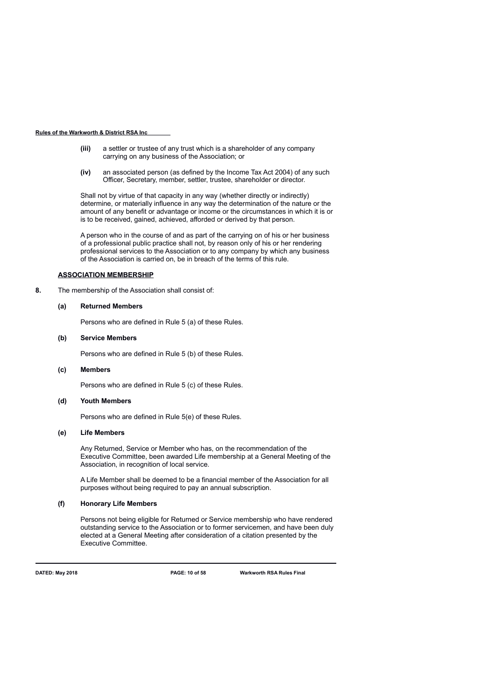- **(iii)** a settler or trustee of any trust which is a shareholder of any company carrying on any business of the Association; or
- **(iv)** an associated person (as defined by the Income Tax Act 2004) of any such Officer, Secretary, member, settler, trustee, shareholder or director.

Shall not by virtue of that capacity in any way (whether directly or indirectly) determine, or materially influence in any way the determination of the nature or the amount of any benefit or advantage or income or the circumstances in which it is or is to be received, gained, achieved, afforded or derived by that person.

A person who in the course of and as part of the carrying on of his or her business of a professional public practice shall not, by reason only of his or her rendering professional services to the Association or to any company by which any business of the Association is carried on, be in breach of the terms of this rule.

### **ASSOCIATION MEMBERSHIP**

**8.** The membership of the Association shall consist of:

### **(a) Returned Members**

Persons who are defined in Rule 5 (a) of these Rules.

### **(b) Service Members**

Persons who are defined in Rule 5 (b) of these Rules.

### **(c) Members**

Persons who are defined in Rule 5 (c) of these Rules.

### **(d) Youth Members**

Persons who are defined in Rule 5(e) of these Rules.

### **(e) Life Members**

Any Returned, Service or Member who has, on the recommendation of the Executive Committee, been awarded Life membership at a General Meeting of the Association, in recognition of local service.

A Life Member shall be deemed to be a financial member of the Association for all purposes without being required to pay an annual subscription.

### **(f) Honorary Life Members**

Persons not being eligible for Returned or Service membership who have rendered outstanding service to the Association or to former servicemen, and have been duly elected at a General Meeting after consideration of a citation presented by the Executive Committee.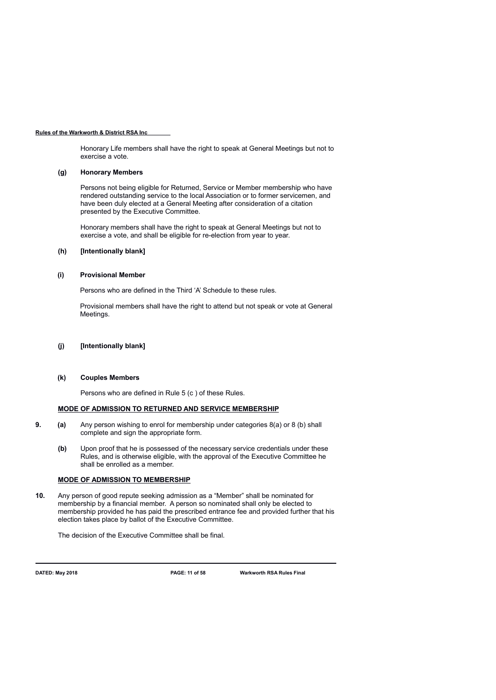Honorary Life members shall have the right to speak at General Meetings but not to exercise a vote.

### **(g) Honorary Members**

Persons not being eligible for Returned, Service or Member membership who have rendered outstanding service to the local Association or to former servicemen, and have been duly elected at a General Meeting after consideration of a citation presented by the Executive Committee.

Honorary members shall have the right to speak at General Meetings but not to exercise a vote, and shall be eligible for re-election from year to year.

## **(h) [Intentionally blank]**

### **(i) Provisional Member**

Persons who are defined in the Third 'A' Schedule to these rules.

Provisional members shall have the right to attend but not speak or vote at General Meetings.

# **(j) [Intentionally blank]**

#### **(k) Couples Members**

Persons who are defined in Rule 5 (c ) of these Rules.

### **MODE OF ADMISSION TO RETURNED AND SERVICE MEMBERSHIP**

- **9. (a)** Any person wishing to enrol for membership under categories 8(a) or 8 (b) shall complete and sign the appropriate form.
	- **(b)** Upon proof that he is possessed of the necessary service credentials under these Rules, and is otherwise eligible, with the approval of the Executive Committee he shall be enrolled as a member.

### **MODE OF ADMISSION TO MEMBERSHIP**

**10.** Any person of good repute seeking admission as a "Member" shall be nominated for membership by a financial member. A person so nominated shall only be elected to membership provided he has paid the prescribed entrance fee and provided further that his election takes place by ballot of the Executive Committee.

The decision of the Executive Committee shall be final.

**DATED: May 2018 PAGE: 11 of 58 Warkworth RSA Rules Final**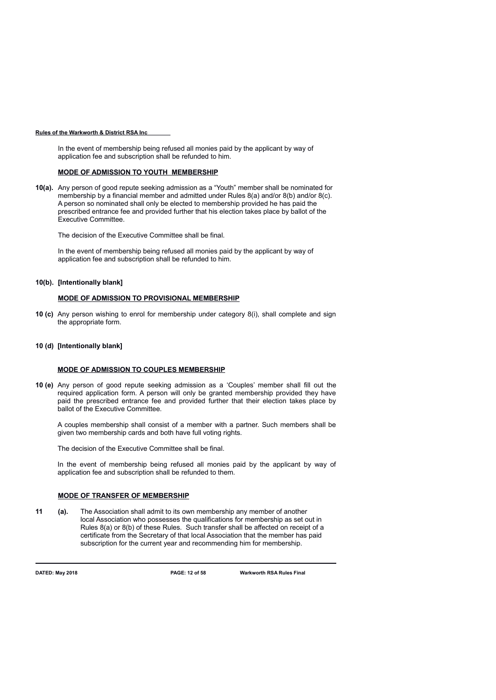In the event of membership being refused all monies paid by the applicant by way of application fee and subscription shall be refunded to him.

### **MODE OF ADMISSION TO YOUTH MEMBERSHIP**

**10(a).** Any person of good repute seeking admission as a "Youth" member shall be nominated for membership by a financial member and admitted under Rules 8(a) and/or 8(b) and/or 8(c). A person so nominated shall only be elected to membership provided he has paid the prescribed entrance fee and provided further that his election takes place by ballot of the Executive Committee.

The decision of the Executive Committee shall be final.

In the event of membership being refused all monies paid by the applicant by way of application fee and subscription shall be refunded to him.

### **10(b). [Intentionally blank]**

### **MODE OF ADMISSION TO PROVISIONAL MEMBERSHIP**

**10 (c)** Any person wishing to enrol for membership under category 8(i), shall complete and sign the appropriate form.

## **10 (d) [Intentionally blank]**

### **MODE OF ADMISSION TO COUPLES MEMBERSHIP**

**10 (e)** Any person of good repute seeking admission as a 'Couples' member shall fill out the required application form. A person will only be granted membership provided they have paid the prescribed entrance fee and provided further that their election takes place by ballot of the Executive Committee.

A couples membership shall consist of a member with a partner. Such members shall be given two membership cards and both have full voting rights.

The decision of the Executive Committee shall be final.

In the event of membership being refused all monies paid by the applicant by way of application fee and subscription shall be refunded to them.

### **MODE OF TRANSFER OF MEMBERSHIP**

**11 (a).** The Association shall admit to its own membership any member of another local Association who possesses the qualifications for membership as set out in Rules 8(a) or 8(b) of these Rules. Such transfer shall be affected on receipt of a certificate from the Secretary of that local Association that the member has paid subscription for the current year and recommending him for membership.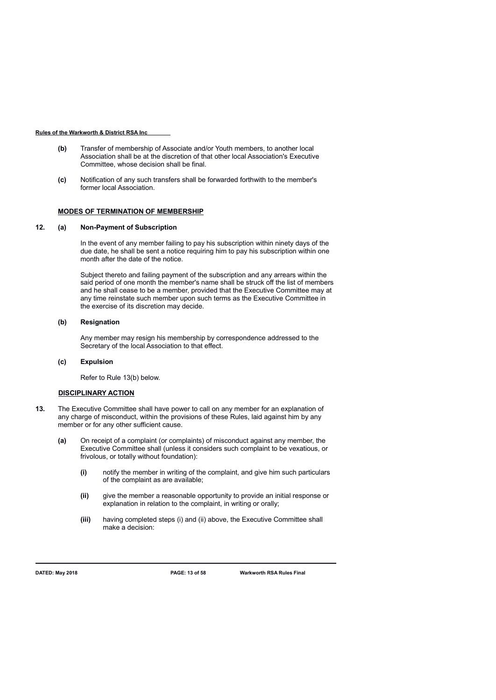- **(b)** Transfer of membership of Associate and/or Youth members, to another local Association shall be at the discretion of that other local Association's Executive Committee, whose decision shall be final.
- **(c)** Notification of any such transfers shall be forwarded forthwith to the member's former local Association.

### **MODES OF TERMINATION OF MEMBERSHIP**

### **12. (a) Non-Payment of Subscription**

In the event of any member failing to pay his subscription within ninety days of the due date, he shall be sent a notice requiring him to pay his subscription within one month after the date of the notice.

Subject thereto and failing payment of the subscription and any arrears within the said period of one month the member's name shall be struck off the list of members and he shall cease to be a member, provided that the Executive Committee may at any time reinstate such member upon such terms as the Executive Committee in the exercise of its discretion may decide.

### **(b) Resignation**

Any member may resign his membership by correspondence addressed to the Secretary of the local Association to that effect.

### **(c) Expulsion**

Refer to Rule 13(b) below.

## **DISCIPLINARY ACTION**

- **13.** The Executive Committee shall have power to call on any member for an explanation of any charge of misconduct, within the provisions of these Rules, laid against him by any member or for any other sufficient cause.
	- **(a)** On receipt of a complaint (or complaints) of misconduct against any member, the Executive Committee shall (unless it considers such complaint to be vexatious, or frivolous, or totally without foundation):
		- **(i)** notify the member in writing of the complaint, and give him such particulars of the complaint as are available;
		- **(ii)** give the member a reasonable opportunity to provide an initial response or explanation in relation to the complaint, in writing or orally;
		- **(iii)** having completed steps (i) and (ii) above, the Executive Committee shall make a decision: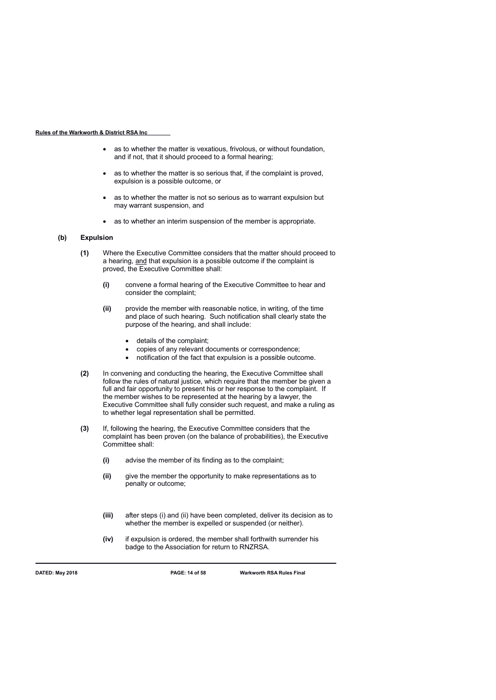- as to whether the matter is vexatious, frivolous, or without foundation, and if not, that it should proceed to a formal hearing;
- as to whether the matter is so serious that, if the complaint is proved, expulsion is a possible outcome, or
- as to whether the matter is not so serious as to warrant expulsion but may warrant suspension, and
- as to whether an interim suspension of the member is appropriate.

### **(b) Expulsion**

- **(1)** Where the Executive Committee considers that the matter should proceed to a hearing, and that expulsion is a possible outcome if the complaint is proved, the Executive Committee shall:
	- **(i)** convene a formal hearing of the Executive Committee to hear and consider the complaint;
	- **(ii)** provide the member with reasonable notice, in writing, of the time and place of such hearing. Such notification shall clearly state the purpose of the hearing, and shall include:
		- details of the complaint;
		- copies of any relevant documents or correspondence;
		- notification of the fact that expulsion is a possible outcome.
- **(2)** In convening and conducting the hearing, the Executive Committee shall follow the rules of natural justice, which require that the member be given a full and fair opportunity to present his or her response to the complaint. If the member wishes to be represented at the hearing by a lawyer, the Executive Committee shall fully consider such request, and make a ruling as to whether legal representation shall be permitted.
- **(3)** If, following the hearing, the Executive Committee considers that the complaint has been proven (on the balance of probabilities), the Executive Committee shall:
	- **(i)** advise the member of its finding as to the complaint;
	- **(ii)** give the member the opportunity to make representations as to penalty or outcome;
	- **(iii)** after steps (i) and (ii) have been completed, deliver its decision as to whether the member is expelled or suspended (or neither).
	- **(iv)** if expulsion is ordered, the member shall forthwith surrender his badge to the Association for return to RNZRSA.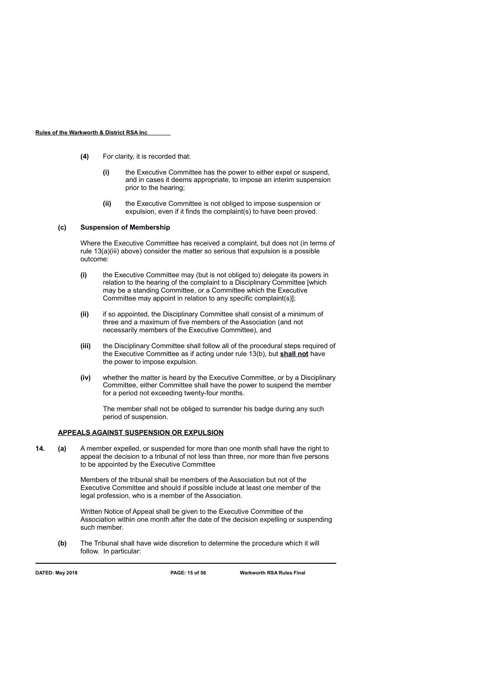- **(4)** For clarity, it is recorded that:
	- **(i)** the Executive Committee has the power to either expel or suspend, and in cases it deems appropriate, to impose an interim suspension prior to the hearing;
	- **(ii)** the Executive Committee is not obliged to impose suspension or expulsion, even if it finds the complaint(s) to have been proved.

### **(c) Suspension of Membership**

Where the Executive Committee has received a complaint, but does not (in terms of rule 13(a)(iii) above) consider the matter so serious that expulsion is a possible outcome:

- **(i)** the Executive Committee may (but is not obliged to) delegate its powers in relation to the hearing of the complaint to a Disciplinary Committee [which may be a standing Committee, or a Committee which the Executive Committee may appoint in relation to any specific complaint(s)];
- **(ii)** if so appointed, the Disciplinary Committee shall consist of a minimum of three and a maximum of five members of the Association (and not necessarily members of the Executive Committee), and
- **(iii)** the Disciplinary Committee shall follow all of the procedural steps required of the Executive Committee as if acting under rule 13(b), but **shall not** have the power to impose expulsion.
- **(iv)** whether the matter is heard by the Executive Committee, or by a Disciplinary Committee, either Committee shall have the power to suspend the member for a period not exceeding twenty-four months.

The member shall not be obliged to surrender his badge during any such period of suspension.

### **APPEALS AGAINST SUSPENSION OR EXPULSION**

**14. (a)** A member expelled, or suspended for more than one month shall have the right to appeal the decision to a tribunal of not less than three, nor more than five persons to be appointed by the Executive Committee

> Members of the tribunal shall be members of the Association but not of the Executive Committee and should if possible include at least one member of the legal profession, who is a member of the Association.

Written Notice of Appeal shall be given to the Executive Committee of the Association within one month after the date of the decision expelling or suspending such member.

**(b)** The Tribunal shall have wide discretion to determine the procedure which it will follow. In particular:

**DATED: May 2018 PAGE: 15 of 58 Warkworth RSA Rules Final**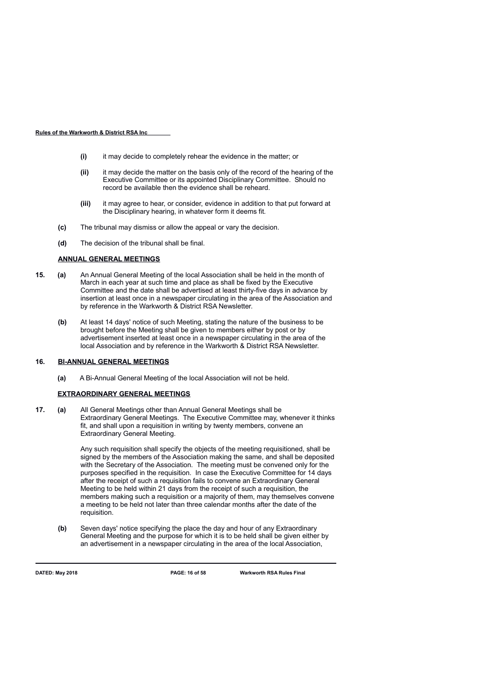- **(i)** it may decide to completely rehear the evidence in the matter; or
- **(ii)** it may decide the matter on the basis only of the record of the hearing of the Executive Committee or its appointed Disciplinary Committee. Should no record be available then the evidence shall be reheard.
- **(iii)** it may agree to hear, or consider, evidence in addition to that put forward at the Disciplinary hearing, in whatever form it deems fit.
- **(c)** The tribunal may dismiss or allow the appeal or vary the decision.
- **(d)** The decision of the tribunal shall be final.

# **ANNUAL GENERAL MEETINGS**

- **15. (a)** An Annual General Meeting of the local Association shall be held in the month of March in each year at such time and place as shall be fixed by the Executive Committee and the date shall be advertised at least thirty-five days in advance by insertion at least once in a newspaper circulating in the area of the Association and by reference in the Warkworth & District RSA Newsletter.
	- **(b)** At least 14 days' notice of such Meeting, stating the nature of the business to be brought before the Meeting shall be given to members either by post or by advertisement inserted at least once in a newspaper circulating in the area of the local Association and by reference in the Warkworth & District RSA Newsletter.

### **16. BI-ANNUAL GENERAL MEETINGS**

**(a)** A Bi-Annual General Meeting of the local Association will not be held.

### **EXTRAORDINARY GENERAL MEETINGS**

**17. (a)** All General Meetings other than Annual General Meetings shall be Extraordinary General Meetings. The Executive Committee may, whenever it thinks fit, and shall upon a requisition in writing by twenty members, convene an Extraordinary General Meeting.

> Any such requisition shall specify the objects of the meeting requisitioned, shall be signed by the members of the Association making the same, and shall be deposited with the Secretary of the Association. The meeting must be convened only for the purposes specified in the requisition. In case the Executive Committee for 14 days after the receipt of such a requisition fails to convene an Extraordinary General Meeting to be held within 21 days from the receipt of such a requisition, the members making such a requisition or a majority of them, may themselves convene a meeting to be held not later than three calendar months after the date of the requisition.

**(b)** Seven days' notice specifying the place the day and hour of any Extraordinary General Meeting and the purpose for which it is to be held shall be given either by an advertisement in a newspaper circulating in the area of the local Association,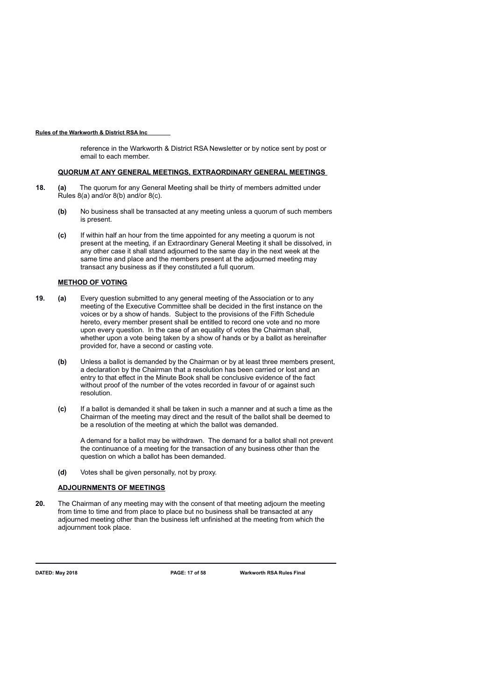reference in the Warkworth & District RSA Newsletter or by notice sent by post or email to each member.

### **QUORUM AT ANY GENERAL MEETINGS, EXTRAORDINARY GENERAL MEETINGS**

- **18. (a)** The quorum for any General Meeting shall be thirty of members admitted under Rules 8(a) and/or 8(b) and/or 8(c).
	- **(b)** No business shall be transacted at any meeting unless a quorum of such members is present.
	- **(c)** If within half an hour from the time appointed for any meeting a quorum is not present at the meeting, if an Extraordinary General Meeting it shall be dissolved, in any other case it shall stand adjourned to the same day in the next week at the same time and place and the members present at the adjourned meeting may transact any business as if they constituted a full quorum.

### **METHOD OF VOTING**

- **19. (a)** Every question submitted to any general meeting of the Association or to any meeting of the Executive Committee shall be decided in the first instance on the voices or by a show of hands. Subject to the provisions of the Fifth Schedule hereto, every member present shall be entitled to record one vote and no more upon every question. In the case of an equality of votes the Chairman shall, whether upon a vote being taken by a show of hands or by a ballot as hereinafter provided for, have a second or casting vote.
	- **(b)** Unless a ballot is demanded by the Chairman or by at least three members present, a declaration by the Chairman that a resolution has been carried or lost and an entry to that effect in the Minute Book shall be conclusive evidence of the fact without proof of the number of the votes recorded in favour of or against such resolution.
	- **(c)** If a ballot is demanded it shall be taken in such a manner and at such a time as the Chairman of the meeting may direct and the result of the ballot shall be deemed to be a resolution of the meeting at which the ballot was demanded.

A demand for a ballot may be withdrawn. The demand for a ballot shall not prevent the continuance of a meeting for the transaction of any business other than the question on which a ballot has been demanded.

**(d)** Votes shall be given personally, not by proxy.

# **ADJOURNMENTS OF MEETINGS**

**20.** The Chairman of any meeting may with the consent of that meeting adjourn the meeting from time to time and from place to place but no business shall be transacted at any adjourned meeting other than the business left unfinished at the meeting from which the adjournment took place.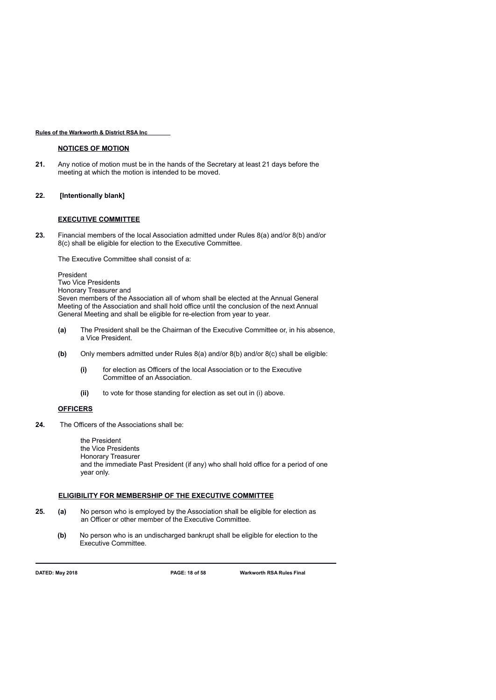### **NOTICES OF MOTION**

**21.** Any notice of motion must be in the hands of the Secretary at least 21 days before the meeting at which the motion is intended to be moved.

### **22***.* **[Intentionally blank]**

### **EXECUTIVE COMMITTEE**

**23.** Financial members of the local Association admitted under Rules 8(a) and/or 8(b) and/or 8(c) shall be eligible for election to the Executive Committee.

The Executive Committee shall consist of a:

President Two Vice Presidents Honorary Treasurer and Seven members of the Association all of whom shall be elected at the Annual General Meeting of the Association and shall hold office until the conclusion of the next Annual General Meeting and shall be eligible for re-election from year to year.

- **(a)** The President shall be the Chairman of the Executive Committee or, in his absence, a Vice President.
- **(b)** Only members admitted under Rules 8(a) and/or 8(b) and/or 8(c) shall be eligible:
	- **(i)** for election as Officers of the local Association or to the Executive Committee of an Association.
	- **(ii)** to vote for those standing for election as set out in (i) above.

### **OFFICERS**

**24.** The Officers of the Associations shall be:

the President the Vice Presidents Honorary Treasurer and the immediate Past President (if any) who shall hold office for a period of one year only.

### **ELIGIBILITY FOR MEMBERSHIP OF THE EXECUTIVE COMMITTEE**

- **25. (a)** No person who is employed by the Association shall be eligible for election as an Officer or other member of the Executive Committee.
	- **(b)** No person who is an undischarged bankrupt shall be eligible for election to the Executive Committee.

**DATED: May 2018 PAGE: 18 of 58 Warkworth RSA Rules Final**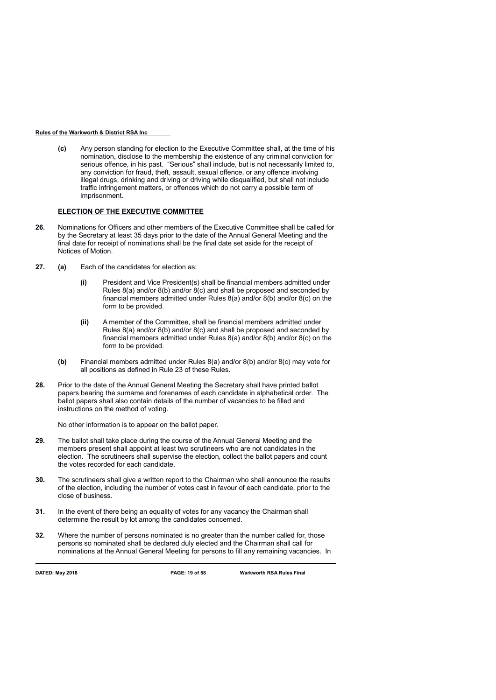**(c)** Any person standing for election to the Executive Committee shall, at the time of his nomination, disclose to the membership the existence of any criminal conviction for serious offence, in his past. "Serious" shall include, but is not necessarily limited to, any conviction for fraud, theft, assault, sexual offence, or any offence involving illegal drugs, drinking and driving or driving while disqualified, but shall not include traffic infringement matters, or offences which do not carry a possible term of imprisonment.

### **ELECTION OF THE EXECUTIVE COMMITTEE**

- **26.** Nominations for Officers and other members of the Executive Committee shall be called for by the Secretary at least 35 days prior to the date of the Annual General Meeting and the final date for receipt of nominations shall be the final date set aside for the receipt of Notices of Motion.
- **27. (a)** Each of the candidates for election as:
	- **(i)** President and Vice President(s) shall be financial members admitted under Rules 8(a) and/or 8(b) and/or 8(c) and shall be proposed and seconded by financial members admitted under Rules 8(a) and/or 8(b) and/or 8(c) on the form to be provided.
	- **(ii)** A member of the Committee, shall be financial members admitted under Rules 8(a) and/or 8(b) and/or 8(c) and shall be proposed and seconded by financial members admitted under Rules 8(a) and/or 8(b) and/or 8(c) on the form to be provided.
	- **(b)** Financial members admitted under Rules 8(a) and/or 8(b) and/or 8(c) may vote for all positions as defined in Rule 23 of these Rules.
- **28.** Prior to the date of the Annual General Meeting the Secretary shall have printed ballot papers bearing the surname and forenames of each candidate in alphabetical order. The ballot papers shall also contain details of the number of vacancies to be filled and instructions on the method of voting.

No other information is to appear on the ballot paper.

- **29.** The ballot shall take place during the course of the Annual General Meeting and the members present shall appoint at least two scrutineers who are not candidates in the election. The scrutineers shall supervise the election, collect the ballot papers and count the votes recorded for each candidate.
- **30.** The scrutineers shall give a written report to the Chairman who shall announce the results of the election, including the number of votes cast in favour of each candidate, prior to the close of business.
- **31.** In the event of there being an equality of votes for any vacancy the Chairman shall determine the result by lot among the candidates concerned.
- **32.** Where the number of persons nominated is no greater than the number called for, those persons so nominated shall be declared duly elected and the Chairman shall call for nominations at the Annual General Meeting for persons to fill any remaining vacancies. In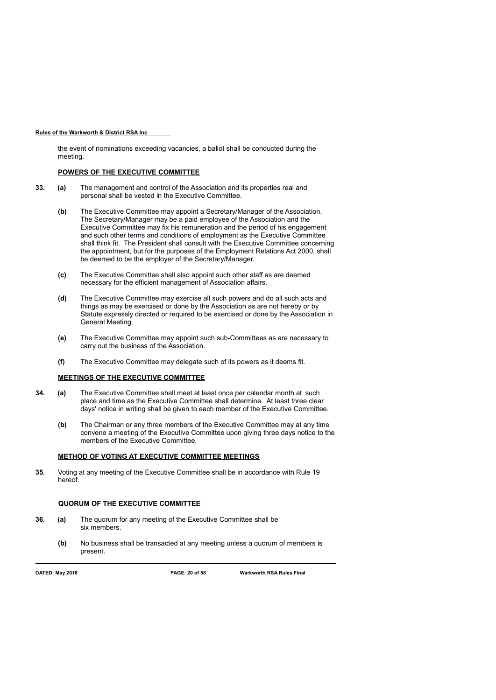the event of nominations exceeding vacancies, a ballot shall be conducted during the meeting.

# **POWERS OF THE EXECUTIVE COMMITTEE**

- **33. (a)** The management and control of the Association and its properties real and personal shall be vested in the Executive Committee.
	- **(b)** The Executive Committee may appoint a Secretary/Manager of the Association. The Secretary/Manager may be a paid employee of the Association and the Executive Committee may fix his remuneration and the period of his engagement and such other terms and conditions of employment as the Executive Committee shall think fit. The President shall consult with the Executive Committee concerning the appointment, but for the purposes of the Employment Relations Act 2000, shall be deemed to be the employer of the Secretary/Manager.
	- **(c)** The Executive Committee shall also appoint such other staff as are deemed necessary for the efficient management of Association affairs.
	- **(d)** The Executive Committee may exercise all such powers and do all such acts and things as may be exercised or done by the Association as are not hereby or by Statute expressly directed or required to be exercised or done by the Association in General Meeting.
	- **(e)** The Executive Committee may appoint such sub-Committees as are necessary to carry out the business of the Association.
	- **(f)** The Executive Committee may delegate such of its powers as it deems fit.

### **MEETINGS OF THE EXECUTIVE COMMITTEE**

- **34. (a)** The Executive Committee shall meet at least once per calendar month at such place and time as the Executive Committee shall determine. At least three clear days' notice in writing shall be given to each member of the Executive Committee.
	- **(b)** The Chairman or any three members of the Executive Committee may at any time convene a meeting of the Executive Committee upon giving three days notice to the members of the Executive Committee.

### **METHOD OF VOTING AT EXECUTIVE COMMITTEE MEETINGS**

**35.** Voting at any meeting of the Executive Committee shall be in accordance with Rule 19 hereof.

### **QUORUM OF THE EXECUTIVE COMMITTEE**

- **36. (a)** The quorum for any meeting of the Executive Committee shall be six members.
	- **(b)** No business shall be transacted at any meeting unless a quorum of members is present.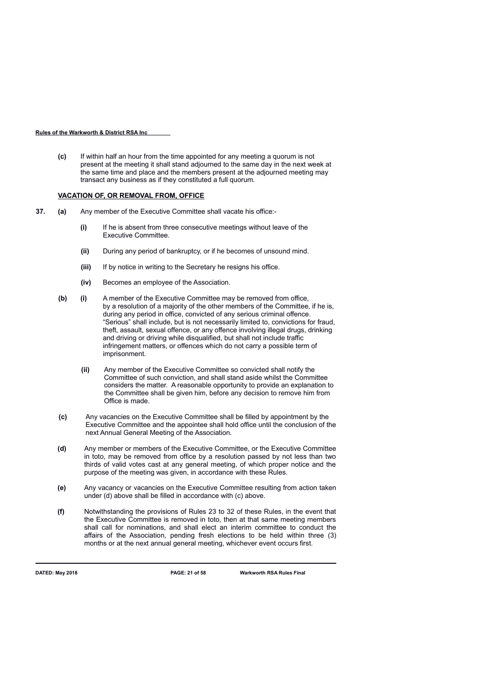**(c)** If within half an hour from the time appointed for any meeting a quorum is not present at the meeting it shall stand adjourned to the same day in the next week at the same time and place and the members present at the adjourned meeting may transact any business as if they constituted a full quorum.

### **VACATION OF, OR REMOVAL FROM, OFFICE**

- **37. (a)** Any member of the Executive Committee shall vacate his office:-
	- **(i)** If he is absent from three consecutive meetings without leave of the Executive Committee.
	- **(ii)** During any period of bankruptcy, or if he becomes of unsound mind.
	- **(iii)** If by notice in writing to the Secretary he resigns his office.
	- **(iv)** Becomes an employee of the Association.
	- **(b) (i)** A member of the Executive Committee may be removed from office, by a resolution of a majority of the other members of the Committee, if he is, during any period in office, convicted of any serious criminal offence. "Serious" shall include, but is not necessarily limited to, convictions for fraud, theft, assault, sexual offence, or any offence involving illegal drugs, drinking and driving or driving while disqualified, but shall not include traffic infringement matters, or offences which do not carry a possible term of imprisonment.
		- **(ii)** Any member of the Executive Committee so convicted shall notify the Committee of such conviction, and shall stand aside whilst the Committee considers the matter. A reasonable opportunity to provide an explanation to the Committee shall be given him, before any decision to remove him from Office is made.
	- **(c)** Any vacancies on the Executive Committee shall be filled by appointment by the Executive Committee and the appointee shall hold office until the conclusion of the next Annual General Meeting of the Association.
	- **(d)** Any member or members of the Executive Committee, or the Executive Committee in toto, may be removed from office by a resolution passed by not less than two thirds of valid votes cast at any general meeting, of which proper notice and the purpose of the meeting was given, in accordance with these Rules.
	- **(e)** Any vacancy or vacancies on the Executive Committee resulting from action taken under (d) above shall be filled in accordance with (c) above.
	- **(f)** Notwithstanding the provisions of Rules 23 to 32 of these Rules, in the event that the Executive Committee is removed in toto, then at that same meeting members shall call for nominations, and shall elect an interim committee to conduct the affairs of the Association, pending fresh elections to be held within three (3) months or at the next annual general meeting, whichever event occurs first.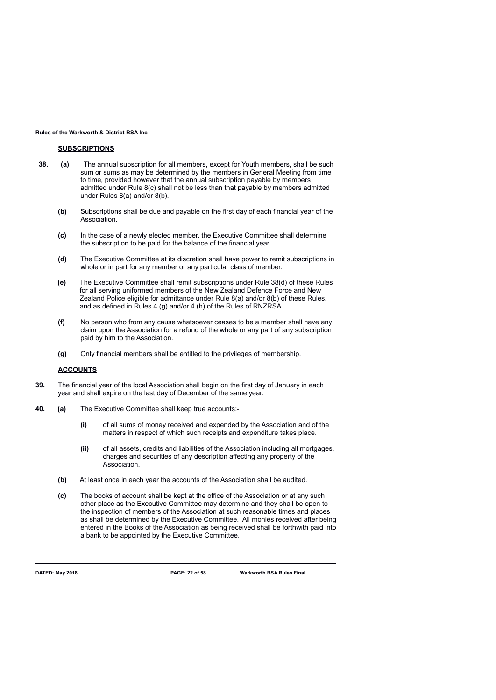### **SUBSCRIPTIONS**

- **38. (a)** The annual subscription for all members, except for Youth members, shall be such sum or sums as may be determined by the members in General Meeting from time to time, provided however that the annual subscription payable by members admitted under Rule 8(c) shall not be less than that payable by members admitted under Rules 8(a) and/or 8(b).
	- **(b)** Subscriptions shall be due and payable on the first day of each financial year of the Association.
	- **(c)** In the case of a newly elected member, the Executive Committee shall determine the subscription to be paid for the balance of the financial year.
	- **(d)** The Executive Committee at its discretion shall have power to remit subscriptions in whole or in part for any member or any particular class of member.
	- **(e)** The Executive Committee shall remit subscriptions under Rule 38(d) of these Rules for all serving uniformed members of the New Zealand Defence Force and New Zealand Police eligible for admittance under Rule 8(a) and/or 8(b) of these Rules, and as defined in Rules 4 (g) and/or 4 (h) of the Rules of RNZRSA.
	- **(f)** No person who from any cause whatsoever ceases to be a member shall have any claim upon the Association for a refund of the whole or any part of any subscription paid by him to the Association.
	- **(g)** Only financial members shall be entitled to the privileges of membership.

### **ACCOUNTS**

- **39.** The financial year of the local Association shall begin on the first day of January in each year and shall expire on the last day of December of the same year.
- **40. (a)** The Executive Committee shall keep true accounts:-
	- **(i)** of all sums of money received and expended by the Association and of the matters in respect of which such receipts and expenditure takes place.
	- **(ii)** of all assets, credits and liabilities of the Association including all mortgages, charges and securities of any description affecting any property of the Association.
	- **(b)** At least once in each year the accounts of the Association shall be audited.
	- **(c)** The books of account shall be kept at the office of the Association or at any such other place as the Executive Committee may determine and they shall be open to the inspection of members of the Association at such reasonable times and places as shall be determined by the Executive Committee. All monies received after being entered in the Books of the Association as being received shall be forthwith paid into a bank to be appointed by the Executive Committee.

**DATED: May 2018 PAGE: 22 of 58 Warkworth RSA Rules Final**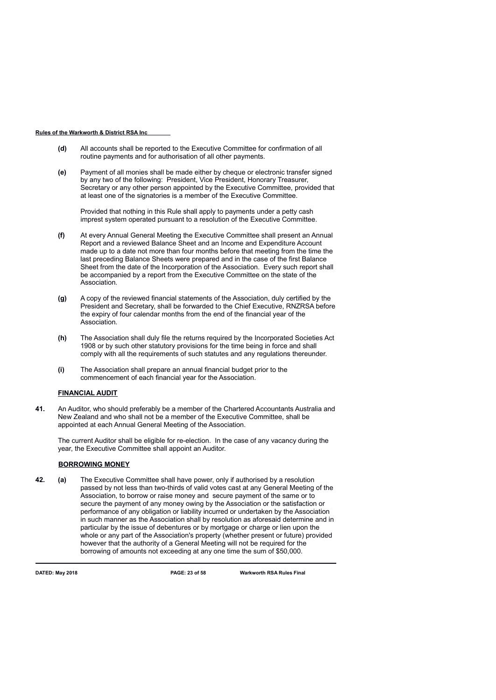- **(d)** All accounts shall be reported to the Executive Committee for confirmation of all routine payments and for authorisation of all other payments.
- **(e)** Payment of all monies shall be made either by cheque or electronic transfer signed by any two of the following: President, Vice President, Honorary Treasurer, Secretary or any other person appointed by the Executive Committee, provided that at least one of the signatories is a member of the Executive Committee.

Provided that nothing in this Rule shall apply to payments under a petty cash imprest system operated pursuant to a resolution of the Executive Committee.

- **(f)** At every Annual General Meeting the Executive Committee shall present an Annual Report and a reviewed Balance Sheet and an Income and Expenditure Account made up to a date not more than four months before that meeting from the time the last preceding Balance Sheets were prepared and in the case of the first Balance Sheet from the date of the Incorporation of the Association. Every such report shall be accompanied by a report from the Executive Committee on the state of the Association.
- **(g)** A copy of the reviewed financial statements of the Association, duly certified by the President and Secretary, shall be forwarded to the Chief Executive, RNZRSA before the expiry of four calendar months from the end of the financial year of the Association.
- **(h)** The Association shall duly file the returns required by the Incorporated Societies Act 1908 or by such other statutory provisions for the time being in force and shall comply with all the requirements of such statutes and any regulations thereunder.
- **(i)** The Association shall prepare an annual financial budget prior to the commencement of each financial year for the Association.

# **FINANCIAL AUDIT**

**41.** An Auditor, who should preferably be a member of the Chartered Accountants Australia and New Zealand and who shall not be a member of the Executive Committee, shall be appointed at each Annual General Meeting of the Association.

The current Auditor shall be eligible for re-election. In the case of any vacancy during the year, the Executive Committee shall appoint an Auditor.

## **BORROWING MONEY**

**42. (a)** The Executive Committee shall have power, only if authorised by a resolution passed by not less than two-thirds of valid votes cast at any General Meeting of the Association, to borrow or raise money and secure payment of the same or to secure the payment of any money owing by the Association or the satisfaction or performance of any obligation or liability incurred or undertaken by the Association in such manner as the Association shall by resolution as aforesaid determine and in particular by the issue of debentures or by mortgage or charge or lien upon the whole or any part of the Association's property (whether present or future) provided however that the authority of a General Meeting will not be required for the borrowing of amounts not exceeding at any one time the sum of \$50,000.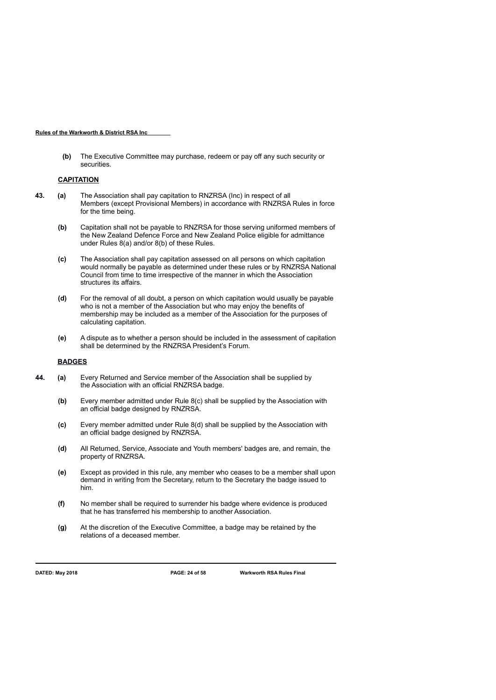**(b)** The Executive Committee may purchase, redeem or pay off any such security or securities.

### **CAPITATION**

- **43. (a)** The Association shall pay capitation to RNZRSA (Inc) in respect of all Members (except Provisional Members) in accordance with RNZRSA Rules in force for the time being.
	- **(b)** Capitation shall not be payable to RNZRSA for those serving uniformed members of the New Zealand Defence Force and New Zealand Police eligible for admittance under Rules 8(a) and/or 8(b) of these Rules.
	- **(c)** The Association shall pay capitation assessed on all persons on which capitation would normally be payable as determined under these rules or by RNZRSA National Council from time to time irrespective of the manner in which the Association structures its affairs.
	- **(d)** For the removal of all doubt, a person on which capitation would usually be payable who is not a member of the Association but who may enjoy the benefits of membership may be included as a member of the Association for the purposes of calculating capitation.
	- **(e)** A dispute as to whether a person should be included in the assessment of capitation shall be determined by the RNZRSA President's Forum.

## **BADGES**

- **44. (a)** Every Returned and Service member of the Association shall be supplied by the Association with an official RNZRSA badge.
	- **(b)** Every member admitted under Rule 8(c) shall be supplied by the Association with an official badge designed by RNZRSA.
	- **(c)** Every member admitted under Rule 8(d) shall be supplied by the Association with an official badge designed by RNZRSA.
	- **(d)** All Returned, Service, Associate and Youth members' badges are, and remain, the property of RNZRSA.
	- **(e)** Except as provided in this rule, any member who ceases to be a member shall upon demand in writing from the Secretary, return to the Secretary the badge issued to him.
	- **(f)** No member shall be required to surrender his badge where evidence is produced that he has transferred his membership to another Association.
	- **(g)** At the discretion of the Executive Committee, a badge may be retained by the relations of a deceased member.

**DATED: May 2018 PAGE: 24 of 58 Warkworth RSA Rules Final**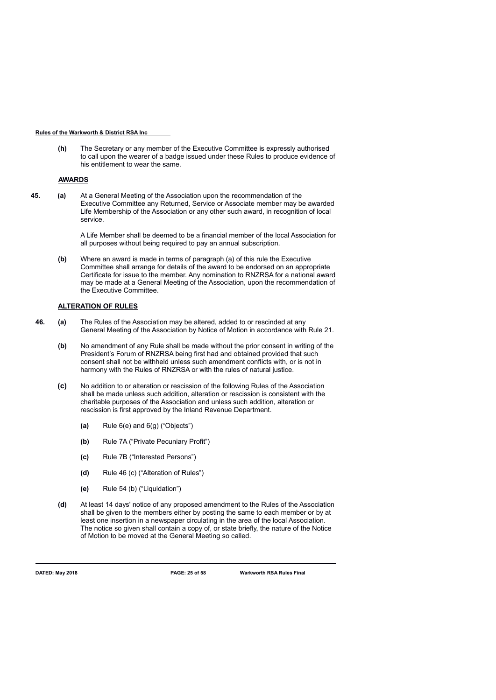**(h)** The Secretary or any member of the Executive Committee is expressly authorised to call upon the wearer of a badge issued under these Rules to produce evidence of his entitlement to wear the same.

### **AWARDS**

**45. (a)** At a General Meeting of the Association upon the recommendation of the Executive Committee any Returned, Service or Associate member may be awarded Life Membership of the Association or any other such award, in recognition of local service.

> A Life Member shall be deemed to be a financial member of the local Association for all purposes without being required to pay an annual subscription.

**(b)** Where an award is made in terms of paragraph (a) of this rule the Executive Committee shall arrange for details of the award to be endorsed on an appropriate Certificate for issue to the member. Any nomination to RNZRSA for a national award may be made at a General Meeting of the Association, upon the recommendation of the Executive Committee.

### **ALTERATION OF RULES**

- **46. (a)** The Rules of the Association may be altered, added to or rescinded at any General Meeting of the Association by Notice of Motion in accordance with Rule 21.
	- **(b)** No amendment of any Rule shall be made without the prior consent in writing of the President's Forum of RNZRSA being first had and obtained provided that such consent shall not be withheld unless such amendment conflicts with, or is not in harmony with the Rules of RNZRSA or with the rules of natural justice.
	- **(c)** No addition to or alteration or rescission of the following Rules of the Association shall be made unless such addition, alteration or rescission is consistent with the charitable purposes of the Association and unless such addition, alteration or rescission is first approved by the Inland Revenue Department.
		- **(a)** Rule 6(e) and 6(g) ("Objects")
		- **(b)** Rule 7A ("Private Pecuniary Profit")
		- **(c)** Rule 7B ("Interested Persons")
		- **(d)** Rule 46 (c) ("Alteration of Rules")
		- **(e)** Rule 54 (b) ("Liquidation")
	- **(d)** At least 14 days' notice of any proposed amendment to the Rules of the Association shall be given to the members either by posting the same to each member or by at least one insertion in a newspaper circulating in the area of the local Association. The notice so given shall contain a copy of, or state briefly, the nature of the Notice of Motion to be moved at the General Meeting so called.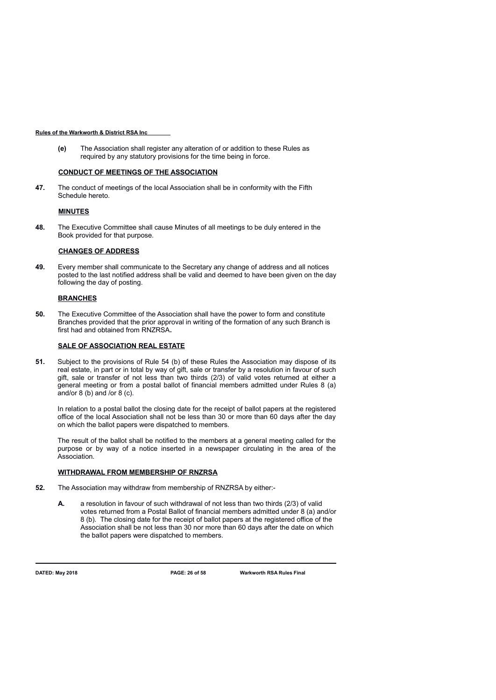**(e)** The Association shall register any alteration of or addition to these Rules as required by any statutory provisions for the time being in force.

## **CONDUCT OF MEETINGS OF THE ASSOCIATION**

**47.** The conduct of meetings of the local Association shall be in conformity with the Fifth Schedule hereto.

### **MINUTES**

**48.** The Executive Committee shall cause Minutes of all meetings to be duly entered in the Book provided for that purpose.

### **CHANGES OF ADDRESS**

**49.** Every member shall communicate to the Secretary any change of address and all notices posted to the last notified address shall be valid and deemed to have been given on the day following the day of posting.

### **BRANCHES**

**50.** The Executive Committee of the Association shall have the power to form and constitute Branches provided that the prior approval in writing of the formation of any such Branch is first had and obtained from RNZRSA**.**

### **SALE OF ASSOCIATION REAL ESTATE**

**51.** Subject to the provisions of Rule 54 (b) of these Rules the Association may dispose of its real estate, in part or in total by way of gift, sale or transfer by a resolution in favour of such gift, sale or transfer of not less than two thirds (2/3) of valid votes returned at either a general meeting or from a postal ballot of financial members admitted under Rules 8 (a) and/or 8 (b) and /or 8 (c).

In relation to a postal ballot the closing date for the receipt of ballot papers at the registered office of the local Association shall not be less than 30 or more than 60 days after the day on which the ballot papers were dispatched to members.

The result of the ballot shall be notified to the members at a general meeting called for the purpose or by way of a notice inserted in a newspaper circulating in the area of the Association.

### **WITHDRAWAL FROM MEMBERSHIP OF RNZRSA**

- **52.** The Association may withdraw from membership of RNZRSA by either:-
	- **A.** a resolution in favour of such withdrawal of not less than two thirds (2/3) of valid votes returned from a Postal Ballot of financial members admitted under 8 (a) and/or 8 (b). The closing date for the receipt of ballot papers at the registered office of the Association shall be not less than 30 nor more than 60 days after the date on which the ballot papers were dispatched to members.

**DATED: May 2018 PAGE: 26 of 58 Warkworth RSA Rules Final**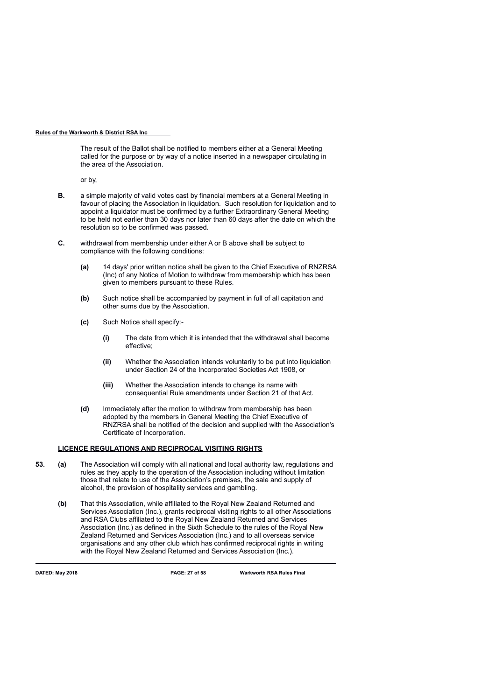The result of the Ballot shall be notified to members either at a General Meeting called for the purpose or by way of a notice inserted in a newspaper circulating in the area of the Association.

or by,

- **B.** a simple majority of valid votes cast by financial members at a General Meeting in favour of placing the Association in liquidation. Such resolution for liquidation and to appoint a liquidator must be confirmed by a further Extraordinary General Meeting to be held not earlier than 30 days nor later than 60 days after the date on which the resolution so to be confirmed was passed.
- **C.** withdrawal from membership under either A or B above shall be subject to compliance with the following conditions:
	- **(a)** 14 days' prior written notice shall be given to the Chief Executive of RNZRSA (Inc) of any Notice of Motion to withdraw from membership which has been given to members pursuant to these Rules.
	- **(b)** Such notice shall be accompanied by payment in full of all capitation and other sums due by the Association.
	- **(c)** Such Notice shall specify:-
		- **(i)** The date from which it is intended that the withdrawal shall become effective;
		- **(ii)** Whether the Association intends voluntarily to be put into liquidation under Section 24 of the Incorporated Societies Act 1908, or
		- **(iii)** Whether the Association intends to change its name with consequential Rule amendments under Section 21 of that Act.
	- **(d)** Immediately after the motion to withdraw from membership has been adopted by the members in General Meeting the Chief Executive of RNZRSA shall be notified of the decision and supplied with the Association's Certificate of Incorporation.

# **LICENCE REGULATIONS AND RECIPROCAL VISITING RIGHTS**

- **53. (a)** The Association will comply with all national and local authority law, regulations and rules as they apply to the operation of the Association including without limitation those that relate to use of the Association's premises, the sale and supply of alcohol, the provision of hospitality services and gambling.
	- **(b)** That this Association, while affiliated to the Royal New Zealand Returned and Services Association (Inc.), grants reciprocal visiting rights to all other Associations and RSA Clubs affiliated to the Royal New Zealand Returned and Services Association (Inc.) as defined in the Sixth Schedule to the rules of the Royal New Zealand Returned and Services Association (Inc.) and to all overseas service organisations and any other club which has confirmed reciprocal rights in writing with the Royal New Zealand Returned and Services Association (Inc.).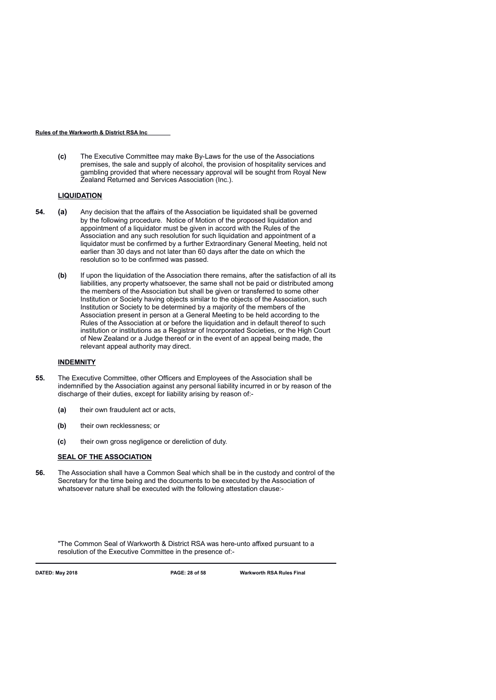**(c)** The Executive Committee may make By-Laws for the use of the Associations premises, the sale and supply of alcohol, the provision of hospitality services and gambling provided that where necessary approval will be sought from Royal New Zealand Returned and Services Association (Inc.).

## **LIQUIDATION**

- **54. (a)** Any decision that the affairs of the Association be liquidated shall be governed by the following procedure. Notice of Motion of the proposed liquidation and appointment of a liquidator must be given in accord with the Rules of the Association and any such resolution for such liquidation and appointment of a liquidator must be confirmed by a further Extraordinary General Meeting, held not earlier than 30 days and not later than 60 days after the date on which the resolution so to be confirmed was passed.
	- **(b)** If upon the liquidation of the Association there remains, after the satisfaction of all its liabilities, any property whatsoever, the same shall not be paid or distributed among the members of the Association but shall be given or transferred to some other Institution or Society having objects similar to the objects of the Association, such Institution or Society to be determined by a majority of the members of the Association present in person at a General Meeting to be held according to the Rules of the Association at or before the liquidation and in default thereof to such institution or institutions as a Registrar of Incorporated Societies, or the High Court of New Zealand or a Judge thereof or in the event of an appeal being made, the relevant appeal authority may direct.

### **INDEMNITY**

- **55.** The Executive Committee, other Officers and Employees of the Association shall be indemnified by the Association against any personal liability incurred in or by reason of the discharge of their duties, except for liability arising by reason of:-
	- **(a)** their own fraudulent act or acts,
	- **(b)** their own recklessness; or
	- **(c)** their own gross negligence or dereliction of duty.

### **SEAL OF THE ASSOCIATION**

**56.** The Association shall have a Common Seal which shall be in the custody and control of the Secretary for the time being and the documents to be executed by the Association of whatsoever nature shall be executed with the following attestation clause:-

"The Common Seal of Warkworth & District RSA was here-unto affixed pursuant to a resolution of the Executive Committee in the presence of:-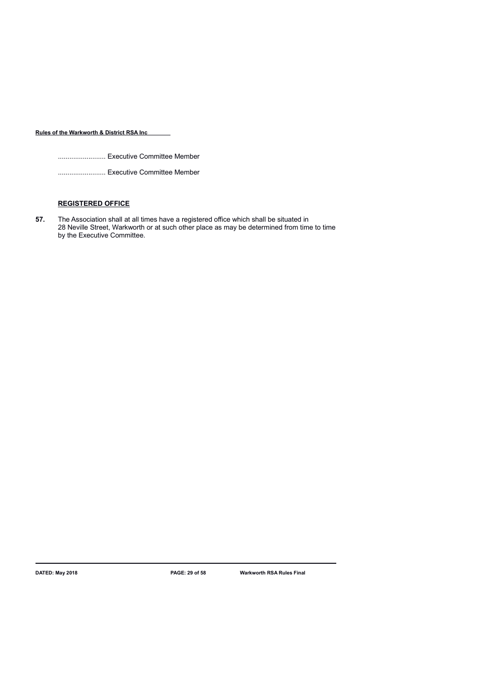......................... Executive Committee Member

......................... Executive Committee Member

# **REGISTERED OFFICE**

**57.** The Association shall at all times have a registered office which shall be situated in 28 Neville Street, Warkworth or at such other place as may be determined from time to time by the Executive Committee.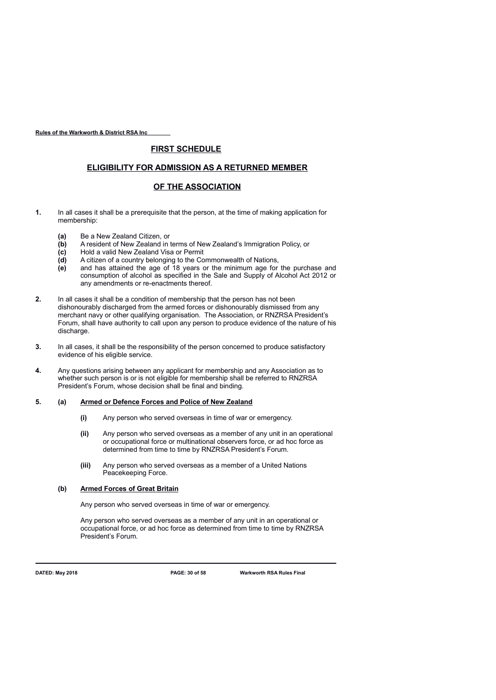# **FIRST SCHEDULE**

# **ELIGIBILITY FOR ADMISSION AS A RETURNED MEMBER**

# **OF THE ASSOCIATION**

- **1.** In all cases it shall be a prerequisite that the person, at the time of making application for membership:
	- **(a)** Be a New Zealand Citizen, or
	- **(b)** A resident of New Zealand in terms of New Zealand's Immigration Policy, or
	- **(c)** Hold a valid New Zealand Visa or Permit
	- **(d)** A citizen of a country belonging to the Commonwealth of Nations,
	- **(e)** and has attained the age of 18 years or the minimum age for the purchase and consumption of alcohol as specified in the Sale and Supply of Alcohol Act 2012 or any amendments or re-enactments thereof.
- **2.** In all cases it shall be a condition of membership that the person has not been dishonourably discharged from the armed forces or dishonourably dismissed from any merchant navy or other qualifying organisation. The Association, or RNZRSA President's Forum, shall have authority to call upon any person to produce evidence of the nature of his discharge.
- **3.** In all cases, it shall be the responsibility of the person concerned to produce satisfactory evidence of his eligible service.
- **4.** Any questions arising between any applicant for membership and any Association as to whether such person is or is not eligible for membership shall be referred to RNZRSA President's Forum, whose decision shall be final and binding.

### **5. (a) Armed or Defence Forces and Police of New Zealand**

- **(i)** Any person who served overseas in time of war or emergency.
- **(ii)** Any person who served overseas as a member of any unit in an operational or occupational force or multinational observers force, or ad hoc force as determined from time to time by RNZRSA President's Forum.
- **(iii)** Any person who served overseas as a member of a United Nations Peacekeeping Force.

## **(b) Armed Forces of Great Britain**

Any person who served overseas in time of war or emergency.

Any person who served overseas as a member of any unit in an operational or occupational force, or ad hoc force as determined from time to time by RNZRSA President's Forum.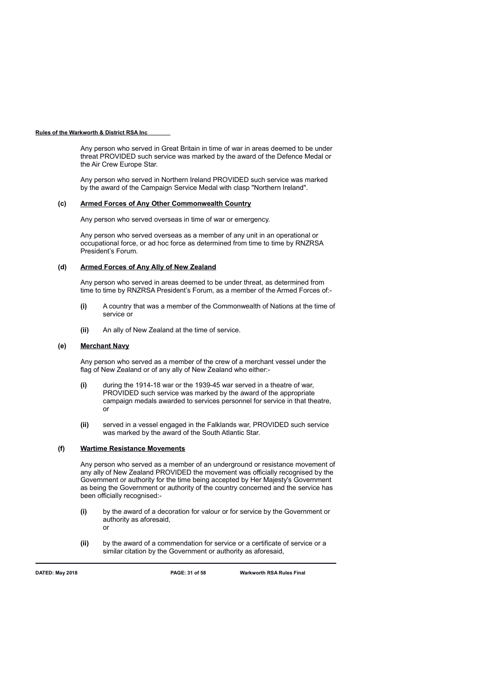Any person who served in Great Britain in time of war in areas deemed to be under threat PROVIDED such service was marked by the award of the Defence Medal or the Air Crew Europe Star.

Any person who served in Northern Ireland PROVIDED such service was marked by the award of the Campaign Service Medal with clasp "Northern Ireland".

### **(c) Armed Forces of Any Other Commonwealth Country**

Any person who served overseas in time of war or emergency.

Any person who served overseas as a member of any unit in an operational or occupational force, or ad hoc force as determined from time to time by RNZRSA President's Forum.

### **(d) Armed Forces of Any Ally of New Zealand**

Any person who served in areas deemed to be under threat, as determined from time to time by RNZRSA President's Forum, as a member of the Armed Forces of:-

- **(i)** A country that was a member of the Commonwealth of Nations at the time of service or
- **(ii)** An ally of New Zealand at the time of service.

### **(e) Merchant Navy**

Any person who served as a member of the crew of a merchant vessel under the flag of New Zealand or of any ally of New Zealand who either:-

- **(i)** during the 1914-18 war or the 1939-45 war served in a theatre of war, PROVIDED such service was marked by the award of the appropriate campaign medals awarded to services personnel for service in that theatre, or
- **(ii)** served in a vessel engaged in the Falklands war, PROVIDED such service was marked by the award of the South Atlantic Star.

# **(f) Wartime Resistance Movements**

Any person who served as a member of an underground or resistance movement of any ally of New Zealand PROVIDED the movement was officially recognised by the Government or authority for the time being accepted by Her Majesty's Government as being the Government or authority of the country concerned and the service has been officially recognised:-

- **(i)** by the award of a decoration for valour or for service by the Government or authority as aforesaid, or
- **(ii)** by the award of a commendation for service or a certificate of service or a similar citation by the Government or authority as aforesaid,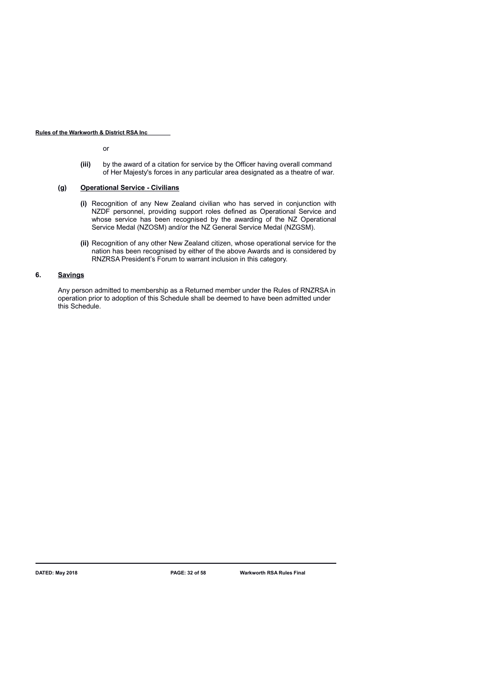or

**(iii)** by the award of a citation for service by the Officer having overall command of Her Majesty's forces in any particular area designated as a theatre of war.

### **(g) Operational Service - Civilians**

- **(i)** Recognition of any New Zealand civilian who has served in conjunction with NZDF personnel, providing support roles defined as Operational Service and whose service has been recognised by the awarding of the NZ Operational Service Medal (NZOSM) and/or the NZ General Service Medal (NZGSM).
- **(ii)** Recognition of any other New Zealand citizen, whose operational service for the nation has been recognised by either of the above Awards and is considered by RNZRSA President's Forum to warrant inclusion in this category.

# **6. Savings**

Any person admitted to membership as a Returned member under the Rules of RNZRSA in operation prior to adoption of this Schedule shall be deemed to have been admitted under this Schedule.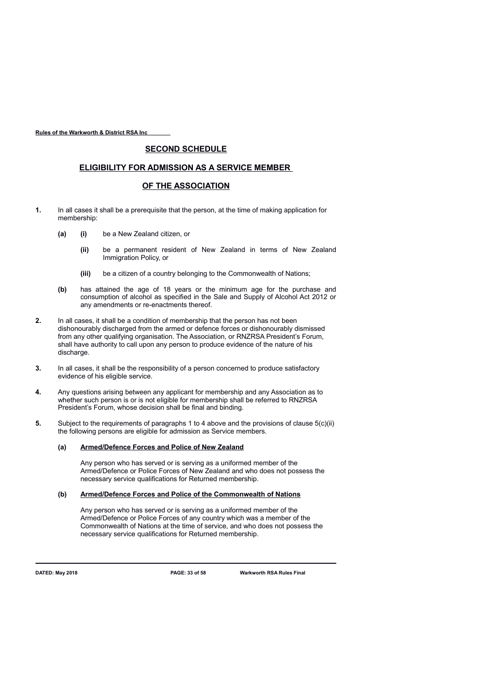# **SECOND SCHEDULE**

# **ELIGIBILITY FOR ADMISSION AS A SERVICE MEMBER**

# **OF THE ASSOCIATION**

- **1.** In all cases it shall be a prerequisite that the person, at the time of making application for membership:
	- **(a) (i)** be a New Zealand citizen, or
		- **(ii)** be a permanent resident of New Zealand in terms of New Zealand Immigration Policy, or
		- **(iii)** be a citizen of a country belonging to the Commonwealth of Nations;
	- **(b)** has attained the age of 18 years or the minimum age for the purchase and consumption of alcohol as specified in the Sale and Supply of Alcohol Act 2012 or any amendments or re-enactments thereof.
- **2.** In all cases, it shall be a condition of membership that the person has not been dishonourably discharged from the armed or defence forces or dishonourably dismissed from any other qualifying organisation. The Association, or RNZRSA President's Forum, shall have authority to call upon any person to produce evidence of the nature of his discharge.
- **3.** In all cases, it shall be the responsibility of a person concerned to produce satisfactory evidence of his eligible service.
- **4.** Any questions arising between any applicant for membership and any Association as to whether such person is or is not eligible for membership shall be referred to RNZRSA President's Forum, whose decision shall be final and binding.
- **5.** Subject to the requirements of paragraphs 1 to 4 above and the provisions of clause 5(c)(ii) the following persons are eligible for admission as Service members.

### **(a) Armed/Defence Forces and Police of New Zealand**

Any person who has served or is serving as a uniformed member of the Armed/Defence or Police Forces of New Zealand and who does not possess the necessary service qualifications for Returned membership.

### **(b) Armed/Defence Forces and Police of the Commonwealth of Nations**

Any person who has served or is serving as a uniformed member of the Armed/Defence or Police Forces of any country which was a member of the Commonwealth of Nations at the time of service, and who does not possess the necessary service qualifications for Returned membership.

**DATED: May 2018 PAGE: 33 of 58 Warkworth RSA Rules Final**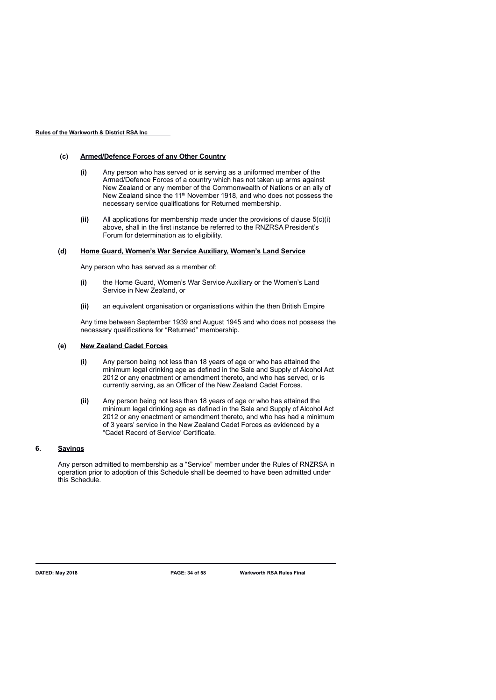### **(c) Armed/Defence Forces of any Other Country**

- **(i)** Any person who has served or is serving as a uniformed member of the Armed/Defence Forces of a country which has not taken up arms against New Zealand or any member of the Commonwealth of Nations or an ally of New Zealand since the 11<sup>th</sup> November 1918, and who does not possess the necessary service qualifications for Returned membership.
- **(ii)** All applications for membership made under the provisions of clause 5(c)(i) above, shall in the first instance be referred to the RNZRSA President's Forum for determination as to eligibility.

### **(d) Home Guard, Women's War Service Auxiliary, Women's Land Service**

Any person who has served as a member of:

- **(i)** the Home Guard, Women's War Service Auxiliary or the Women's Land Service in New Zealand, or
- **(ii)** an equivalent organisation or organisations within the then British Empire

Any time between September 1939 and August 1945 and who does not possess the necessary qualifications for "Returned" membership.

### **(e) New Zealand Cadet Forces**

- **(i)** Any person being not less than 18 years of age or who has attained the minimum legal drinking age as defined in the Sale and Supply of Alcohol Act 2012 or any enactment or amendment thereto, and who has served, or is currently serving, as an Officer of the New Zealand Cadet Forces.
- **(ii)** Any person being not less than 18 years of age or who has attained the minimum legal drinking age as defined in the Sale and Supply of Alcohol Act 2012 or any enactment or amendment thereto, and who has had a minimum of 3 years' service in the New Zealand Cadet Forces as evidenced by a "Cadet Record of Service' Certificate.

# **6. Savings**

Any person admitted to membership as a "Service" member under the Rules of RNZRSA in operation prior to adoption of this Schedule shall be deemed to have been admitted under this Schedule.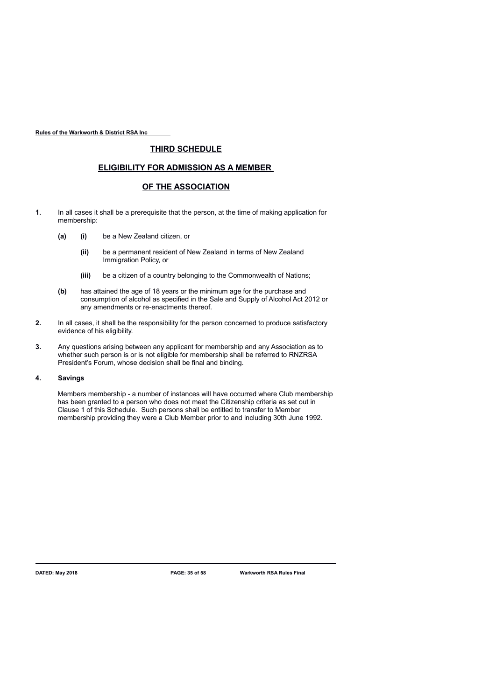# **THIRD SCHEDULE**

# **ELIGIBILITY FOR ADMISSION AS A MEMBER**

# **OF THE ASSOCIATION**

- **1.** In all cases it shall be a prerequisite that the person, at the time of making application for membership:
	- **(a) (i)** be a New Zealand citizen, or
		- **(ii)** be a permanent resident of New Zealand in terms of New Zealand Immigration Policy, or
		- **(iii)** be a citizen of a country belonging to the Commonwealth of Nations;
	- **(b)** has attained the age of 18 years or the minimum age for the purchase and consumption of alcohol as specified in the Sale and Supply of Alcohol Act 2012 or any amendments or re-enactments thereof.
- **2.** In all cases, it shall be the responsibility for the person concerned to produce satisfactory evidence of his eligibility.
- **3.** Any questions arising between any applicant for membership and any Association as to whether such person is or is not eligible for membership shall be referred to RNZRSA President's Forum, whose decision shall be final and binding.

### **4. Savings**

Members membership - a number of instances will have occurred where Club membership has been granted to a person who does not meet the Citizenship criteria as set out in Clause 1 of this Schedule. Such persons shall be entitled to transfer to Member membership providing they were a Club Member prior to and including 30th June 1992.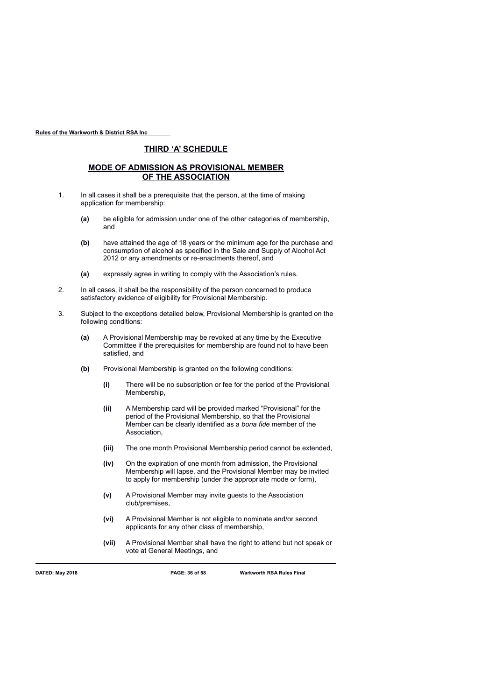# **THIRD 'A' SCHEDULE**

# **MODE OF ADMISSION AS PROVISIONAL MEMBER OF THE ASSOCIATION**

- 1. In all cases it shall be a prerequisite that the person, at the time of making application for membership:
	- **(a)** be eligible for admission under one of the other categories of membership, and
	- **(b)** have attained the age of 18 years or the minimum age for the purchase and consumption of alcohol as specified in the Sale and Supply of Alcohol Act 2012 or any amendments or re-enactments thereof, and
	- **(a)** expressly agree in writing to comply with the Association's rules.
- 2. In all cases, it shall be the responsibility of the person concerned to produce satisfactory evidence of eligibility for Provisional Membership.
- 3. Subject to the exceptions detailed below, Provisional Membership is granted on the following conditions:
	- **(a)** A Provisional Membership may be revoked at any time by the Executive Committee if the prerequisites for membership are found not to have been satisfied, and
	- **(b)** Provisional Membership is granted on the following conditions:
		- **(i)** There will be no subscription or fee for the period of the Provisional Membership,
		- **(ii)** A Membership card will be provided marked "Provisional" for the period of the Provisional Membership, so that the Provisional Member can be clearly identified as a *bona fide* member of the Association,
		- **(iii)** The one month Provisional Membership period cannot be extended,
		- **(iv)** On the expiration of one month from admission, the Provisional Membership will lapse, and the Provisional Member may be invited to apply for membership (under the appropriate mode or form),
		- **(v)** A Provisional Member may invite guests to the Association club/premises,
		- **(vi)** A Provisional Member is not eligible to nominate and/or second applicants for any other class of membership,
		- **(vii)** A Provisional Member shall have the right to attend but not speak or vote at General Meetings, and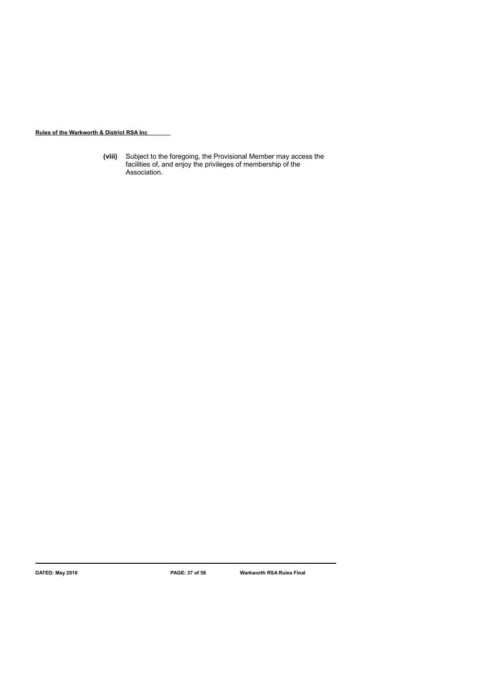**(viii)** Subject to the foregoing, the Provisional Member may access the facilities of, and enjoy the privileges of membership of the Association.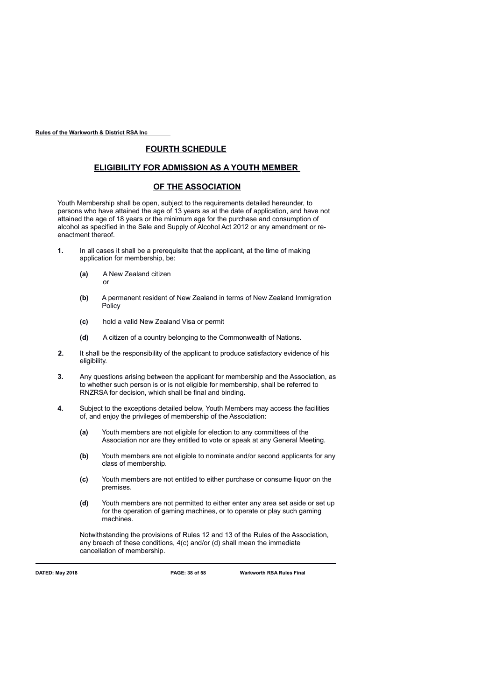# **FOURTH SCHEDULE**

# **ELIGIBILITY FOR ADMISSION AS A YOUTH MEMBER**

## **OF THE ASSOCIATION**

Youth Membership shall be open, subject to the requirements detailed hereunder, to persons who have attained the age of 13 years as at the date of application, and have not attained the age of 18 years or the minimum age for the purchase and consumption of alcohol as specified in the Sale and Supply of Alcohol Act 2012 or any amendment or reenactment thereof.

- **1.** In all cases it shall be a prerequisite that the applicant, at the time of making application for membership, be:
	- **(a)** A New Zealand citizen or
	- **(b)** A permanent resident of New Zealand in terms of New Zealand Immigration Policy
	- **(c)** hold a valid New Zealand Visa or permit
	- **(d)** A citizen of a country belonging to the Commonwealth of Nations.
- **2.** It shall be the responsibility of the applicant to produce satisfactory evidence of his eligibility.
- **3.** Any questions arising between the applicant for membership and the Association, as to whether such person is or is not eligible for membership, shall be referred to RNZRSA for decision, which shall be final and binding.
- **4.** Subject to the exceptions detailed below, Youth Members may access the facilities of, and enjoy the privileges of membership of the Association:
	- **(a)** Youth members are not eligible for election to any committees of the Association nor are they entitled to vote or speak at any General Meeting.
	- **(b)** Youth members are not eligible to nominate and/or second applicants for any class of membership.
	- **(c)** Youth members are not entitled to either purchase or consume liquor on the premises.
	- **(d)** Youth members are not permitted to either enter any area set aside or set up for the operation of gaming machines, or to operate or play such gaming machines.

Notwithstanding the provisions of Rules 12 and 13 of the Rules of the Association, any breach of these conditions, 4(c) and/or (d) shall mean the immediate cancellation of membership.

**DATED: May 2018 PAGE: 38 of 58 Warkworth RSA Rules Final**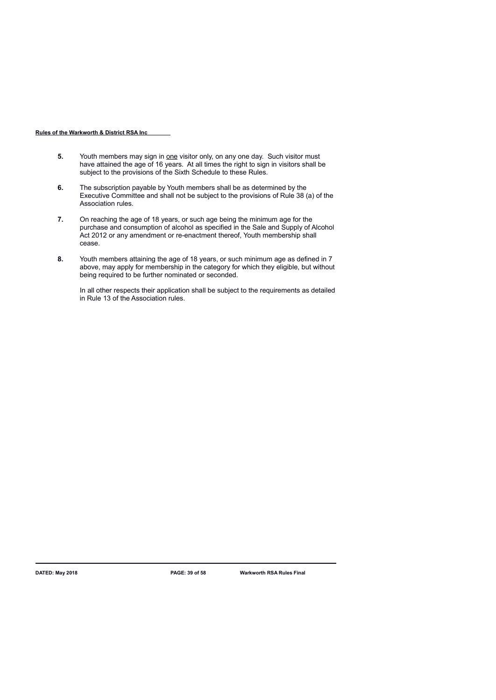- **5.** Youth members may sign in one visitor only, on any one day. Such visitor must have attained the age of 16 years. At all times the right to sign in visitors shall be subject to the provisions of the Sixth Schedule to these Rules.
- **6.** The subscription payable by Youth members shall be as determined by the Executive Committee and shall not be subject to the provisions of Rule 38 (a) of the Association rules.
- **7.** On reaching the age of 18 years, or such age being the minimum age for the purchase and consumption of alcohol as specified in the Sale and Supply of Alcohol Act 2012 or any amendment or re-enactment thereof, Youth membership shall cease.
- **8.** Youth members attaining the age of 18 years, or such minimum age as defined in 7 above, may apply for membership in the category for which they eligible, but without being required to be further nominated or seconded.

In all other respects their application shall be subject to the requirements as detailed in Rule 13 of the Association rules.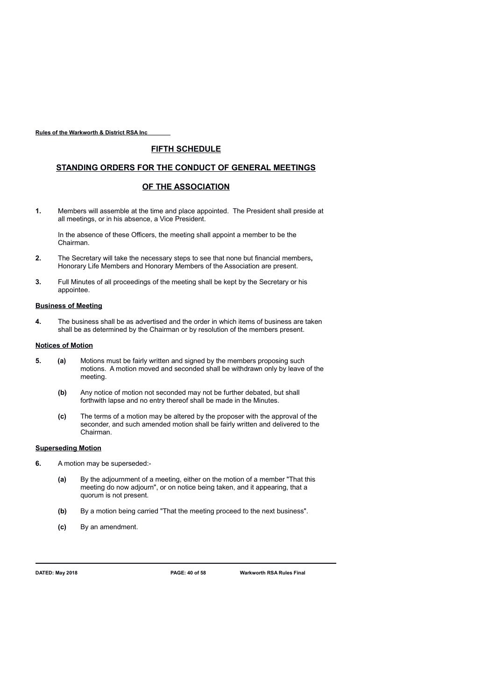# **FIFTH SCHEDULE**

# **STANDING ORDERS FOR THE CONDUCT OF GENERAL MEETINGS**

# **OF THE ASSOCIATION**

**1.** Members will assemble at the time and place appointed. The President shall preside at all meetings, or in his absence, a Vice President.

In the absence of these Officers, the meeting shall appoint a member to be the Chairman.

- **2.** The Secretary will take the necessary steps to see that none but financial members**,** Honorary Life Members and Honorary Members of the Association are present.
- **3.** Full Minutes of all proceedings of the meeting shall be kept by the Secretary or his appointee.

### **Business of Meeting**

**4.** The business shall be as advertised and the order in which items of business are taken shall be as determined by the Chairman or by resolution of the members present.

### **Notices of Motion**

- **5. (a)** Motions must be fairly written and signed by the members proposing such motions. A motion moved and seconded shall be withdrawn only by leave of the meeting.
	- **(b)** Any notice of motion not seconded may not be further debated, but shall forthwith lapse and no entry thereof shall be made in the Minutes.
	- **(c)** The terms of a motion may be altered by the proposer with the approval of the seconder, and such amended motion shall be fairly written and delivered to the Chairman.

### **Superseding Motion**

- **6.** A motion may be superseded:-
	- **(a)** By the adjournment of a meeting, either on the motion of a member "That this meeting do now adjourn", or on notice being taken, and it appearing, that a quorum is not present.
	- **(b)** By a motion being carried "That the meeting proceed to the next business".
	- **(c)** By an amendment.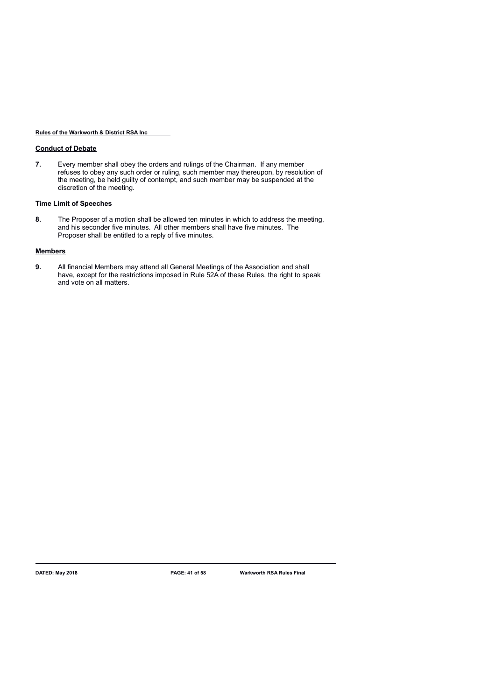## **Conduct of Debate**

**7.** Every member shall obey the orders and rulings of the Chairman. If any member refuses to obey any such order or ruling, such member may thereupon, by resolution of the meeting, be held guilty of contempt, and such member may be suspended at the discretion of the meeting.

# **Time Limit of Speeches**

**8.** The Proposer of a motion shall be allowed ten minutes in which to address the meeting, and his seconder five minutes. All other members shall have five minutes. The Proposer shall be entitled to a reply of five minutes.

## **Members**

**9.** All financial Members may attend all General Meetings of the Association and shall have, except for the restrictions imposed in Rule 52A of these Rules, the right to speak and vote on all matters.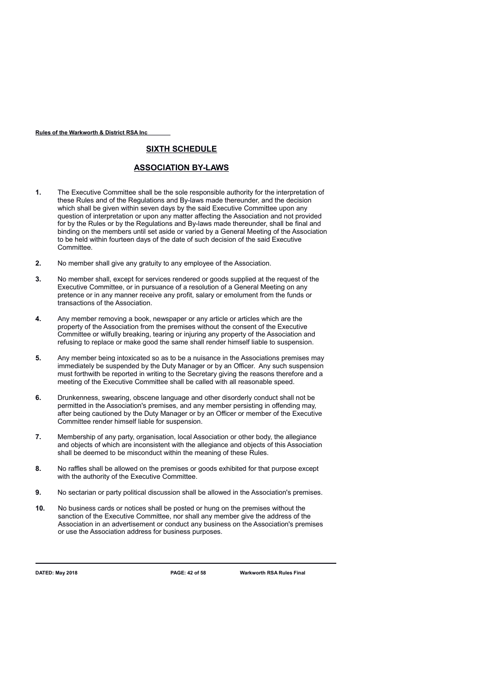# **SIXTH SCHEDULE**

# **ASSOCIATION BY-LAWS**

- **1.** The Executive Committee shall be the sole responsible authority for the interpretation of these Rules and of the Regulations and By-laws made thereunder, and the decision which shall be given within seven days by the said Executive Committee upon any question of interpretation or upon any matter affecting the Association and not provided for by the Rules or by the Regulations and By-laws made thereunder, shall be final and binding on the members until set aside or varied by a General Meeting of the Association to be held within fourteen days of the date of such decision of the said Executive Committee.
- **2.** No member shall give any gratuity to any employee of the Association.
- **3.** No member shall, except for services rendered or goods supplied at the request of the Executive Committee, or in pursuance of a resolution of a General Meeting on any pretence or in any manner receive any profit, salary or emolument from the funds or transactions of the Association.
- **4.** Any member removing a book, newspaper or any article or articles which are the property of the Association from the premises without the consent of the Executive Committee or wilfully breaking, tearing or injuring any property of the Association and refusing to replace or make good the same shall render himself liable to suspension.
- **5.** Any member being intoxicated so as to be a nuisance in the Associations premises may immediately be suspended by the Duty Manager or by an Officer. Any such suspension must forthwith be reported in writing to the Secretary giving the reasons therefore and a meeting of the Executive Committee shall be called with all reasonable speed.
- **6.** Drunkenness, swearing, obscene language and other disorderly conduct shall not be permitted in the Association's premises, and any member persisting in offending may, after being cautioned by the Duty Manager or by an Officer or member of the Executive Committee render himself liable for suspension.
- **7.** Membership of any party, organisation, local Association or other body, the allegiance and objects of which are inconsistent with the allegiance and objects of this Association shall be deemed to be misconduct within the meaning of these Rules.
- **8.** No raffles shall be allowed on the premises or goods exhibited for that purpose except with the authority of the Executive Committee.
- **9.** No sectarian or party political discussion shall be allowed in the Association's premises.
- **10.** No business cards or notices shall be posted or hung on the premises without the sanction of the Executive Committee, nor shall any member give the address of the Association in an advertisement or conduct any business on the Association's premises or use the Association address for business purposes.

**DATED: May 2018 PAGE: 42 of 58 Warkworth RSA Rules Final**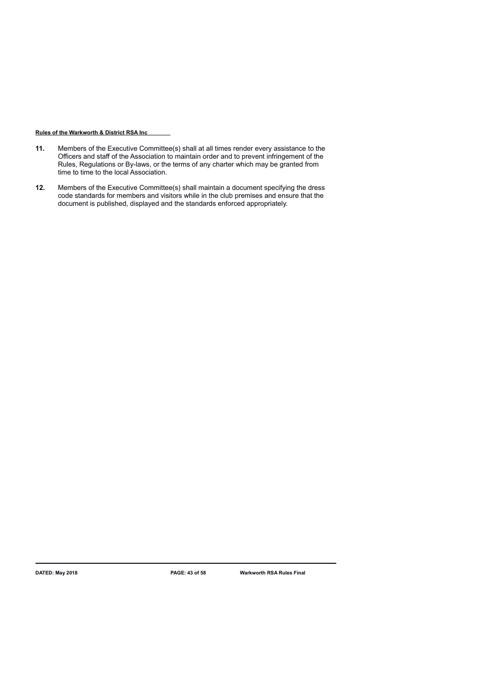- **11.** Members of the Executive Committee(s) shall at all times render every assistance to the Officers and staff of the Association to maintain order and to prevent infringement of the Rules, Regulations or By-laws, or the terms of any charter which may be granted from time to time to the local Association.
- **12.** Members of the Executive Committee(s) shall maintain a document specifying the dress code standards for members and visitors while in the club premises and ensure that the document is published, displayed and the standards enforced appropriately.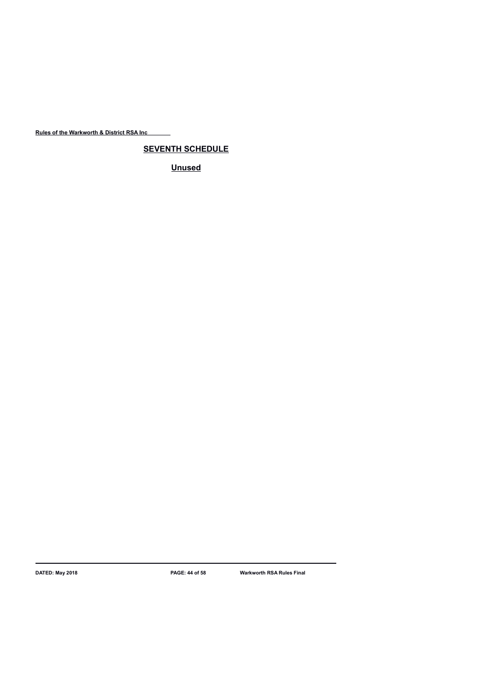**SEVENTH SCHEDULE**

**Unused**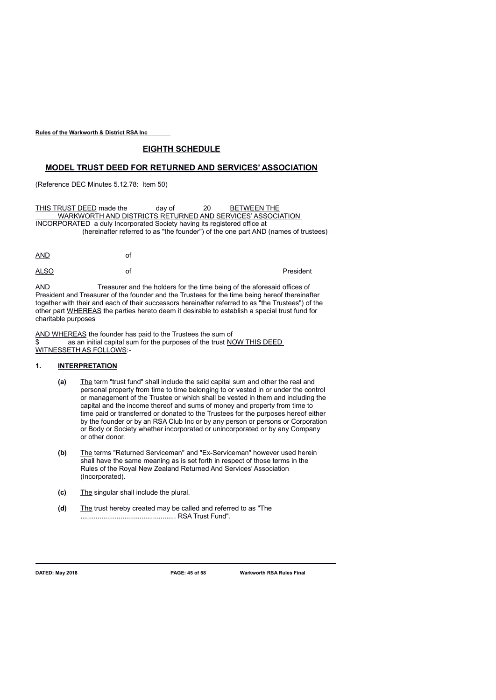# **EIGHTH SCHEDULE**

# **MODEL TRUST DEED FOR RETURNED AND SERVICES' ASSOCIATION**

(Reference DEC Minutes 5.12.78: Item 50)

THIS TRUST DEED made the day of 20 BETWEEN THE WARKWORTH AND DISTRICTS RETURNED AND SERVICES' ASSOCIATION INCORPORATED a duly Incorporated Society having its registered office at (hereinafter referred to as "the founder") of the one part AND (names of trustees)

| <b>AND</b>  | of |           |
|-------------|----|-----------|
| <b>ALSO</b> | of | President |

AND Treasurer and the holders for the time being of the aforesaid offices of President and Treasurer of the founder and the Trustees for the time being hereof thereinafter together with their and each of their successors hereinafter referred to as "the Trustees") of the other part WHEREAS the parties hereto deem it desirable to establish a special trust fund for charitable purposes

AND WHEREAS the founder has paid to the Trustees the sum of as an initial capital sum for the purposes of the trust NOW THIS DEED WITNESSETH AS FOLLOWS:-

### **1. INTERPRETATION**

- **(a)** The term "trust fund" shall include the said capital sum and other the real and personal property from time to time belonging to or vested in or under the control or management of the Trustee or which shall be vested in them and including the capital and the income thereof and sums of money and property from time to time paid or transferred or donated to the Trustees for the purposes hereof either by the founder or by an RSA Club Inc or by any person or persons or Corporation or Body or Society whether incorporated or unincorporated or by any Company or other donor.
- **(b)** The terms "Returned Serviceman" and "Ex-Serviceman" however used herein shall have the same meaning as is set forth in respect of those terms in the Rules of the Royal New Zealand Returned And Services' Association (Incorporated).
- **(c)** The singular shall include the plural.
- **(d)** The trust hereby created may be called and referred to as "The .................................................. RSA Trust Fund".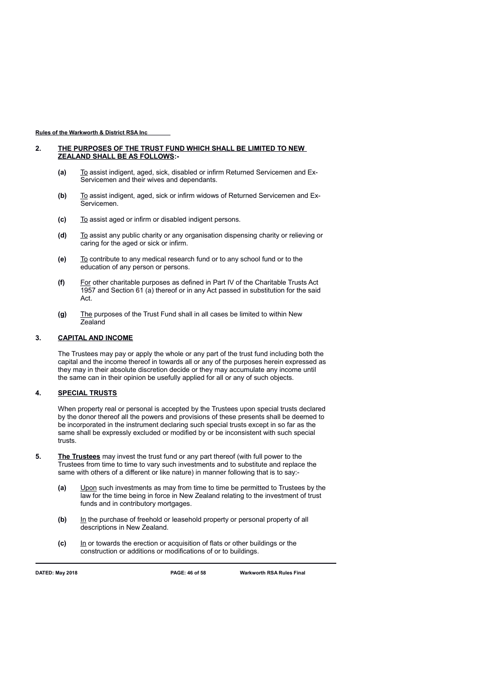### **2. THE PURPOSES OF THE TRUST FUND WHICH SHALL BE LIMITED TO NEW ZEALAND SHALL BE AS FOLLOWS:-**

- **(a)** To assist indigent, aged, sick, disabled or infirm Returned Servicemen and Ex-Servicemen and their wives and dependants.
- **(b)** To assist indigent, aged, sick or infirm widows of Returned Servicemen and Ex-Servicemen.
- **(c)** To assist aged or infirm or disabled indigent persons.
- **(d)** To assist any public charity or any organisation dispensing charity or relieving or caring for the aged or sick or infirm.
- **(e)** To contribute to any medical research fund or to any school fund or to the education of any person or persons.
- **(f)** For other charitable purposes as defined in Part IV of the Charitable Trusts Act 1957 and Section 61 (a) thereof or in any Act passed in substitution for the said Act.
- **(g)** The purposes of the Trust Fund shall in all cases be limited to within New Zealand

# **3. CAPITAL AND INCOME**

The Trustees may pay or apply the whole or any part of the trust fund including both the capital and the income thereof in towards all or any of the purposes herein expressed as they may in their absolute discretion decide or they may accumulate any income until the same can in their opinion be usefully applied for all or any of such objects.

## **4. SPECIAL TRUSTS**

When property real or personal is accepted by the Trustees upon special trusts declared by the donor thereof all the powers and provisions of these presents shall be deemed to be incorporated in the instrument declaring such special trusts except in so far as the same shall be expressly excluded or modified by or be inconsistent with such special trusts.

- **5. The Trustees** may invest the trust fund or any part thereof (with full power to the Trustees from time to time to vary such investments and to substitute and replace the same with others of a different or like nature) in manner following that is to say:-
	- **(a)** Upon such investments as may from time to time be permitted to Trustees by the law for the time being in force in New Zealand relating to the investment of trust funds and in contributory mortgages.
	- **(b)** In the purchase of freehold or leasehold property or personal property of all descriptions in New Zealand.
	- **(c)** In or towards the erection or acquisition of flats or other buildings or the construction or additions or modifications of or to buildings.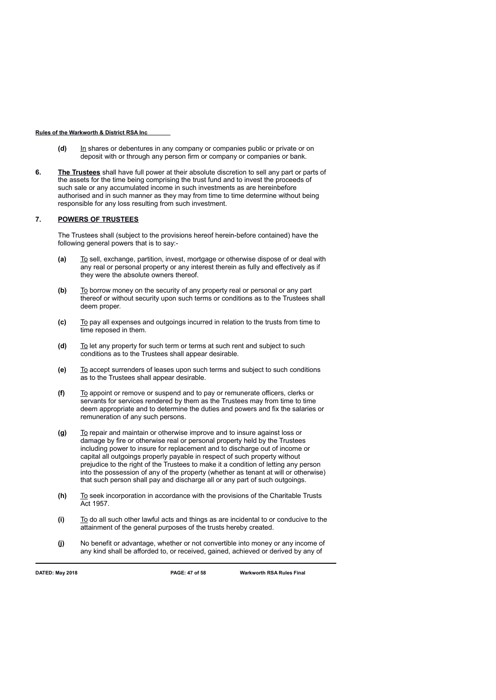- **(d)** In shares or debentures in any company or companies public or private or on deposit with or through any person firm or company or companies or bank.
- **6. The Trustees** shall have full power at their absolute discretion to sell any part or parts of the assets for the time being comprising the trust fund and to invest the proceeds of such sale or any accumulated income in such investments as are hereinbefore authorised and in such manner as they may from time to time determine without being responsible for any loss resulting from such investment.

### **7. POWERS OF TRUSTEES**

The Trustees shall (subject to the provisions hereof herein-before contained) have the following general powers that is to say:-

- **(a)** To sell, exchange, partition, invest, mortgage or otherwise dispose of or deal with any real or personal property or any interest therein as fully and effectively as if they were the absolute owners thereof.
- **(b)** To borrow money on the security of any property real or personal or any part thereof or without security upon such terms or conditions as to the Trustees shall deem proper.
- **(c)** To pay all expenses and outgoings incurred in relation to the trusts from time to  $\overline{t}$  time reposed in them.
- **(d)** To let any property for such term or terms at such rent and subject to such conditions as to the Trustees shall appear desirable.
- **(e)** To accept surrenders of leases upon such terms and subject to such conditions as to the Trustees shall appear desirable.
- **(f)** To appoint or remove or suspend and to pay or remunerate officers, clerks or servants for services rendered by them as the Trustees may from time to time deem appropriate and to determine the duties and powers and fix the salaries or remuneration of any such persons.
- **(g)** To repair and maintain or otherwise improve and to insure against loss or damage by fire or otherwise real or personal property held by the Trustees including power to insure for replacement and to discharge out of income or capital all outgoings properly payable in respect of such property without prejudice to the right of the Trustees to make it a condition of letting any person into the possession of any of the property (whether as tenant at will or otherwise) that such person shall pay and discharge all or any part of such outgoings.
- **(h)** To seek incorporation in accordance with the provisions of the Charitable Trusts Act 1957.
- **(i)** To do all such other lawful acts and things as are incidental to or conducive to the attainment of the general purposes of the trusts hereby created.
- **(j)** No benefit or advantage, whether or not convertible into money or any income of any kind shall be afforded to, or received, gained, achieved or derived by any of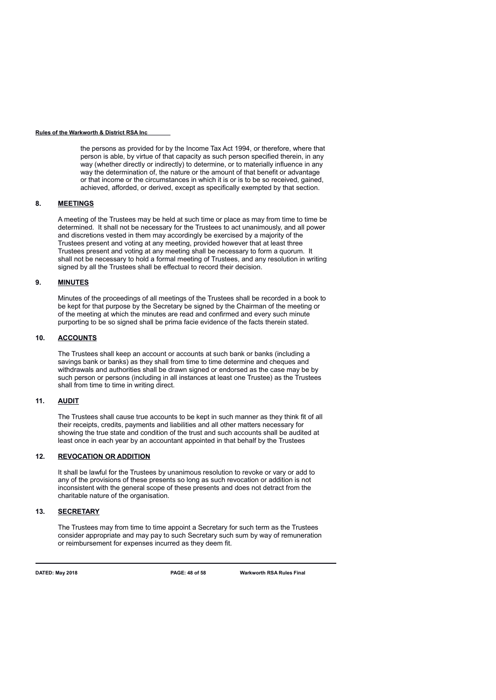the persons as provided for by the Income Tax Act 1994, or therefore, where that person is able, by virtue of that capacity as such person specified therein, in any way (whether directly or indirectly) to determine, or to materially influence in any way the determination of, the nature or the amount of that benefit or advantage or that income or the circumstances in which it is or is to be so received, gained, achieved, afforded, or derived, except as specifically exempted by that section.

### **8. MEETINGS**

A meeting of the Trustees may be held at such time or place as may from time to time be determined. It shall not be necessary for the Trustees to act unanimously, and all power and discretions vested in them may accordingly be exercised by a majority of the Trustees present and voting at any meeting, provided however that at least three Trustees present and voting at any meeting shall be necessary to form a quorum. It shall not be necessary to hold a formal meeting of Trustees, and any resolution in writing signed by all the Trustees shall be effectual to record their decision.

## **9. MINUTES**

Minutes of the proceedings of all meetings of the Trustees shall be recorded in a book to be kept for that purpose by the Secretary be signed by the Chairman of the meeting or of the meeting at which the minutes are read and confirmed and every such minute purporting to be so signed shall be prima facie evidence of the facts therein stated.

## **10. ACCOUNTS**

The Trustees shall keep an account or accounts at such bank or banks (including a savings bank or banks) as they shall from time to time determine and cheques and withdrawals and authorities shall be drawn signed or endorsed as the case may be by such person or persons (including in all instances at least one Trustee) as the Trustees shall from time to time in writing direct.

### **11. AUDIT**

The Trustees shall cause true accounts to be kept in such manner as they think fit of all their receipts, credits, payments and liabilities and all other matters necessary for showing the true state and condition of the trust and such accounts shall be audited at least once in each year by an accountant appointed in that behalf by the Trustees

### **12. REVOCATION OR ADDITION**

It shall be lawful for the Trustees by unanimous resolution to revoke or vary or add to any of the provisions of these presents so long as such revocation or addition is not inconsistent with the general scope of these presents and does not detract from the charitable nature of the organisation.

## **13. SECRETARY**

The Trustees may from time to time appoint a Secretary for such term as the Trustees consider appropriate and may pay to such Secretary such sum by way of remuneration or reimbursement for expenses incurred as they deem fit.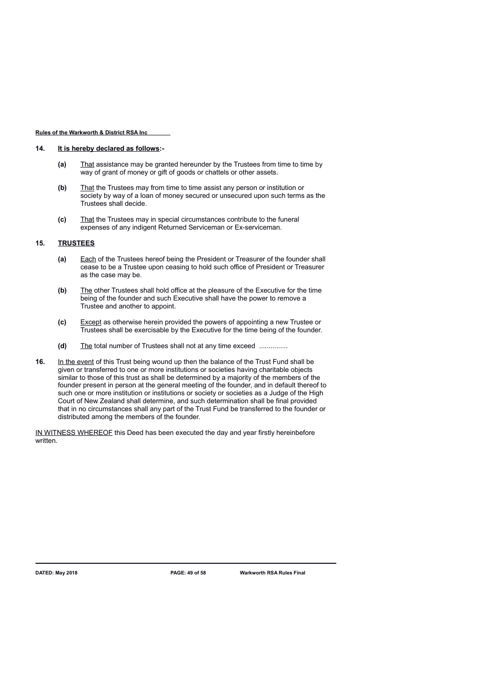### **14. It is hereby declared as follows:-**

- **(a)** That assistance may be granted hereunder by the Trustees from time to time by way of grant of money or gift of goods or chattels or other assets.
- **(b)** That the Trustees may from time to time assist any person or institution or society by way of a loan of money secured or unsecured upon such terms as the Trustees shall decide.
- **(c)** That the Trustees may in special circumstances contribute to the funeral expenses of any indigent Returned Serviceman or Ex-serviceman.

### **15. TRUSTEES**

- **(a)** Each of the Trustees hereof being the President or Treasurer of the founder shall cease to be a Trustee upon ceasing to hold such office of President or Treasurer as the case may be.
- **(b)** The other Trustees shall hold office at the pleasure of the Executive for the time being of the founder and such Executive shall have the power to remove a Trustee and another to appoint.
- **(c)** Except as otherwise herein provided the powers of appointing a new Trustee or Trustees shall be exercisable by the Executive for the time being of the founder.
- **(d)** The total number of Trustees shall not at any time exceed ...............
- **16.** In the event of this Trust being wound up then the balance of the Trust Fund shall be given or transferred to one or more institutions or societies having charitable objects similar to those of this trust as shall be determined by a majority of the members of the founder present in person at the general meeting of the founder, and in default thereof to such one or more institution or institutions or society or societies as a Judge of the High Court of New Zealand shall determine, and such determination shall be final provided that in no circumstances shall any part of the Trust Fund be transferred to the founder or distributed among the members of the founder.

IN WITNESS WHEREOF this Deed has been executed the day and year firstly hereinbefore written.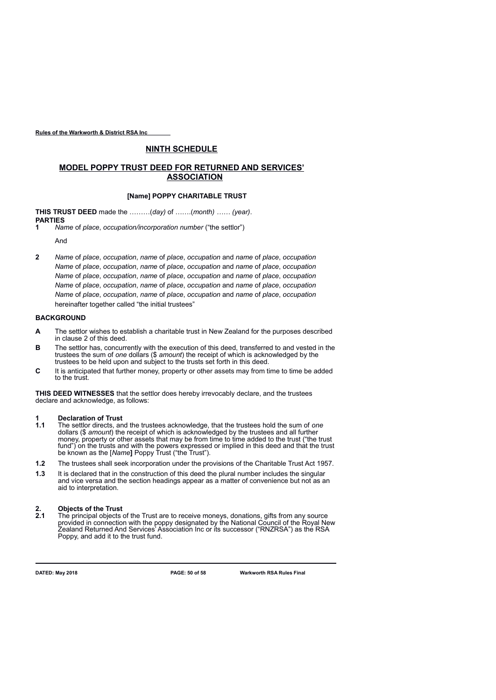# **NINTH SCHEDULE**

# **MODEL POPPY TRUST DEED FOR RETURNED AND SERVICES' ASSOCIATION**

## **[Name] POPPY CHARITABLE TRUST**

**THIS TRUST DEED** made the ………(*day)* of …….(*month) …… (year)*. **PARTIES**

**1** *Name* of *place*, *occupation/incorporation number* ("the settlor")

And

**2** *Name* of *place*, *occupation*, *name* of *place*, *occupation* and *name* of *place*, *occupation Name* of *place*, *occupation*, *name* of *place*, *occupation* and *name* of *place*, *occupation Name* of *place*, *occupation*, *name* of *place*, *occupation* and *name* of *place*, *occupation Name* of *place*, *occupation*, *name* of *place*, *occupation* and *name* of *place*, *occupation Name* of *place*, *occupation*, *name* of *place*, *occupation* and *name* of *place*, *occupation*  hereinafter together called "the initial trustees"

# **BACKGROUND**

- **A** The settlor wishes to establish a charitable trust in New Zealand for the purposes described in clause 2 of this deed.
- **B** The settlor has, concurrently with the execution of this deed, transferred to and vested in the trustees the sum of *one* dollars (\$ *amount*) the receipt of which is acknowledged by the trustees to be held upon and subject to the trusts set forth in this deed.
- **C** It is anticipated that further money, property or other assets may from time to time be added to the trust.

**THIS DEED WITNESSES** that the settlor does hereby irrevocably declare, and the trustees declare and acknowledge, as follows:

# **1 Declaration of Trust**<br>**1.1** The settlor directs, an

- **1.1** The settlor directs, and the trustees acknowledge, that the trustees hold the sum of *one*  dollars (\$ *amount*) the receipt of which is acknowledged by the trustees and all further money, property or other assets that may be from time to time added to the trust ("the trust fund") on the trusts and with the powers expressed or implied in this deed and that the trust be known as the [*Name***]** Poppy Trust ("the Trust").
- **1.2** The trustees shall seek incorporation under the provisions of the Charitable Trust Act 1957.
- **1.3** It is declared that in the construction of this deed the plural number includes the singular and vice versa and the section headings appear as a matter of convenience but not as an aid to interpretation.

# **2. Objects of the Trust**

**2.1** The principal objects of the Trust are to receive moneys, donations, gifts from any source provided in connection with the poppy designated by the National Council of the Royal New Zealand Returned And Services' Association Inc or its successor ("RNZRSA") as the RSA Poppy, and add it to the trust fund.

**DATED: May 2018 PAGE: 50 of 58 Warkworth RSA Rules Final**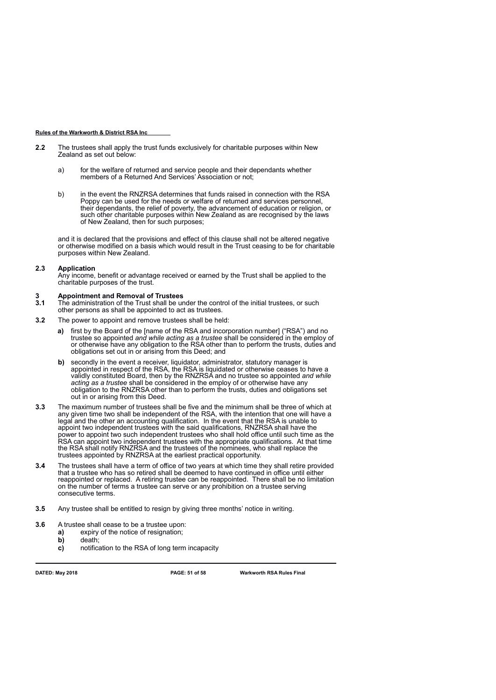- **2.2** The trustees shall apply the trust funds exclusively for charitable purposes within New Zealand as set out below:
	- a) for the welfare of returned and service people and their dependants whether members of a Returned And Services' Association or not;
	- b) in the event the RNZRSA determines that funds raised in connection with the RSA Poppy can be used for the needs or welfare of returned and services personnel, their dependants, the relief of poverty, the advancement of education or religion, or such other charitable purposes within New Zealand as are recognised by the laws of New Zealand, then for such purposes;

and it is declared that the provisions and effect of this clause shall not be altered negative or otherwise modified on a basis which would result in the Trust ceasing to be for charitable purposes within New Zealand.

### **2.3 Application**

Any income, benefit or advantage received or earned by the Trust shall be applied to the charitable purposes of the trust.

### **3 Appointment and Removal of Trustees**

**3.1** The administration of the Trust shall be under the control of the initial trustees, or such other persons as shall be appointed to act as trustees.

- **3.2** The power to appoint and remove trustees shall be held:
	- **a)** first by the Board of the [name of the RSA and incorporation number] ("RSA") and no trustee so appointed *and while acting as a trustee* shall be considered in the employ of or otherwise have any obligation to the RSA other than to perform the trusts, duties and obligations set out in or arising from this Deed; and
	- **b)** secondly in the event a receiver, liquidator, administrator, statutory manager is appointed in respect of the RSA, the RSA is liquidated or otherwise ceases to have a validly constituted Board, then by the RNZRSA and no trustee so appointed *and while acting as a trustee* shall be considered in the employ of or otherwise have any obligation to the RNZRSA other than to perform the trusts, duties and obligations set out in or arising from this Deed.
- **3.3** The maximum number of trustees shall be five and the minimum shall be three of which at any given time two shall be independent of the RSA, with the intention that one will have a legal and the other an accounting qualification. In the event that the RSA is unable to appoint two independent trustees with the said qualifications, RNZRSA shall have the power to appoint two such independent trustees who shall hold office until such time as the RSA can appoint two independent trustees with the appropriate qualifications. At that time the RSA shall notify RNZRSA and the trustees of the nominees, who shall replace the trustees appointed by RNZRSA at the earliest practical opportunity.
- **3.4** The trustees shall have a term of office of two years at which time they shall retire provided that a trustee who has so retired shall be deemed to have continued in office until either reappointed or replaced. A retiring trustee can be reappointed. There shall be no limitation on the number of terms a trustee can serve or any prohibition on a trustee serving consecutive terms.
- **3.5** Any trustee shall be entitled to resign by giving three months' notice in writing.
- **3.6** A trustee shall cease to be a trustee upon:
	- **a)** expiry of the notice of resignation;
		- **b)** death;
		- **c)** notification to the RSA of long term incapacity

**DATED: May 2018 PAGE: 51 of 58 Warkworth RSA Rules Final**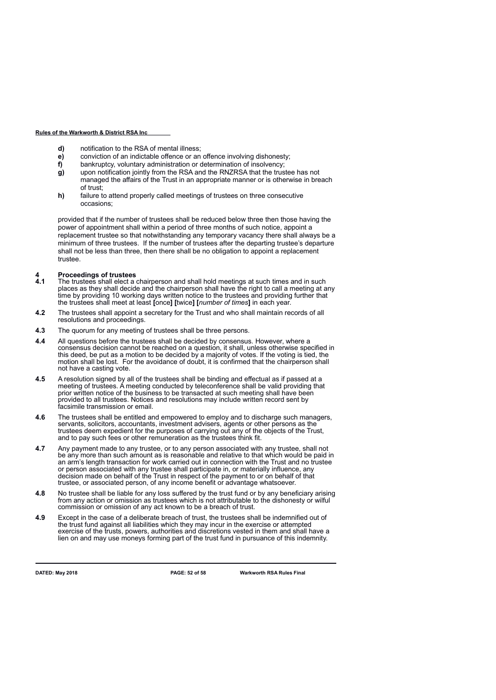- **d)** notification to the RSA of mental illness;
- **e)** conviction of an indictable offence or an offence involving dishonesty;
- **f)** bankruptcy, voluntary administration or determination of insolvency;
- **g)** upon notification jointly from the RSA and the RNZRSA that the trustee has not managed the affairs of the Trust in an appropriate manner or is otherwise in breach of trust;
- **h)** failure to attend properly called meetings of trustees on three consecutive occasions;

provided that if the number of trustees shall be reduced below three then those having the power of appointment shall within a period of three months of such notice, appoint a replacement trustee so that notwithstanding any temporary vacancy there shall always be a minimum of three trustees. If the number of trustees after the departing trustee's departure shall not be less than three, then there shall be no obligation to appoint a replacement trustee.

# **4 Proceedings of trustees**

- **4.1** The trustees shall elect a chairperson and shall hold meetings at such times and in such places as they shall decide and the chairperson shall have the right to call a meeting at any time by providing 10 working days written notice to the trustees and providing further that the trustees shall meet at least **[**once**] [**twice**] [***number of times***]** in each year.
- **4.2** The trustees shall appoint a secretary for the Trust and who shall maintain records of all resolutions and proceedings.
- **4.3** The quorum for any meeting of trustees shall be three persons.
- **4.4** All questions before the trustees shall be decided by consensus. However, where a consensus decision cannot be reached on a question, it shall, unless otherwise specified in this deed, be put as a motion to be decided by a majority of votes. If the voting is tied, the motion shall be lost. For the avoidance of doubt, it is confirmed that the chairperson shall not have a casting vote.
- **4.5** A resolution signed by all of the trustees shall be binding and effectual as if passed at a meeting of trustees. A meeting conducted by teleconference shall be valid providing that prior written notice of the business to be transacted at such meeting shall have been provided to all trustees. Notices and resolutions may include written record sent by facsimile transmission or email.
- **4.6** The trustees shall be entitled and empowered to employ and to discharge such managers, servants, solicitors, accountants, investment advisers, agents or other persons as the trustees deem expedient for the purposes of carrying out any of the objects of the Trust, and to pay such fees or other remuneration as the trustees think fit.
- **4.7** Any payment made to any trustee, or to any person associated with any trustee, shall not be any more than such amount as is reasonable and relative to that which would be paid in an arm's length transaction for work carried out in connection with the Trust and no trustee or person associated with any trustee shall participate in, or materially influence, any decision made on behalf of the Trust in respect of the payment to or on behalf of that trustee, or associated person, of any income benefit or advantage whatsoever.
- **4.8** No trustee shall be liable for any loss suffered by the trust fund or by any beneficiary arising from any action or omission as trustees which is not attributable to the dishonesty or wilful commission or omission of any act known to be a breach of trust.
- **4.9** Except in the case of a deliberate breach of trust, the trustees shall be indemnified out of the trust fund against all liabilities which they may incur in the exercise or attempted exercise of the trusts, powers, authorities and discretions vested in them and shall have a lien on and may use moneys forming part of the trust fund in pursuance of this indemnity.

**DATED: May 2018 PAGE: 52 of 58 Warkworth RSA Rules Final**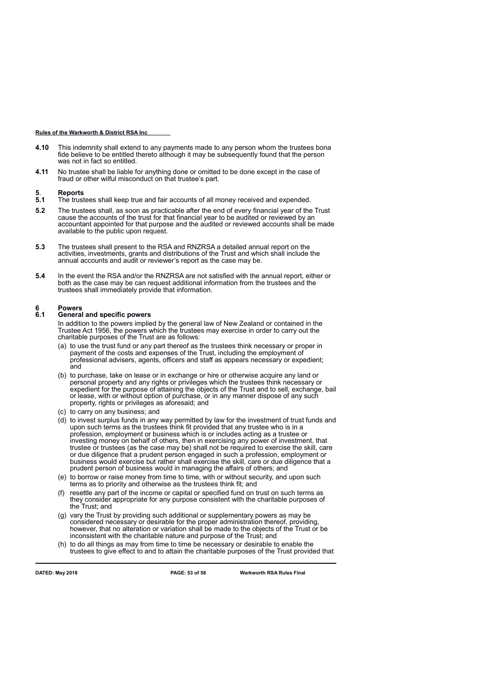- **4.10** This indemnity shall extend to any payments made to any person whom the trustees bona fide believe to be entitled thereto although it may be subsequently found that the person was not in fact so entitled.
- **4.11** No trustee shall be liable for anything done or omitted to be done except in the case of fraud or other wilful misconduct on that trustee's part.

# **5**. **Reports**

- **5.1** The trustees shall keep true and fair accounts of all money received and expended.
- **5.2** The trustees shall, as soon as practicable after the end of every financial year of the Trust cause the accounts of the trust for that financial year to be audited or reviewed by an accountant appointed for that purpose and the audited or reviewed accounts shall be made available to the public upon request.
- **5.3** The trustees shall present to the RSA and RNZRSA a detailed annual report on the activities, investments, grants and distributions of the Trust and which shall include the annual accounts and audit or reviewer's report as the case may be.
- **5.4** In the event the RSA and/or the RNZRSA are not satisfied with the annual report, either or both as the case may be can request additional information from the trustees and the trustees shall immediately provide that information.

# **6 Powers**

### **6.1 General and specific powers**

In addition to the powers implied by the general law of New Zealand or contained in the Trustee Act 1956, the powers which the trustees may exercise in order to carry out the charitable purposes of the Trust are as follows:

- (a) to use the trust fund or any part thereof as the trustees think necessary or proper in payment of the costs and expenses of the Trust, including the employment of professional advisers, agents, officers and staff as appears necessary or expedient; and
- (b) to purchase, take on lease or in exchange or hire or otherwise acquire any land or personal property and any rights or privileges which the trustees think necessary or expedient for the purpose of attaining the objects of the Trust and to sell, exchange, bail or lease, with or without option of purchase, or in any manner dispose of any such property, rights or privileges as aforesaid; and
- (c) to carry on any business; and
- (d) to invest surplus funds in any way permitted by law for the investment of trust funds and upon such terms as the trustees think fit provided that any trustee who is in a profession, employment or business which is or includes acting as a trustee or investing money on behalf of others, then in exercising any power of investment, that trustee or trustees (as the case may be) shall not be required to exercise the skill, care or due diligence that a prudent person engaged in such a profession, employment or business would exercise but rather shall exercise the skill, care or due diligence that a prudent person of business would in managing the affairs of others; and
- (e) to borrow or raise money from time to time, with or without security, and upon such terms as to priority and otherwise as the trustees think fit; and
- (f) resettle any part of the income or capital or specified fund on trust on such terms as they consider appropriate for any purpose consistent with the charitable purposes of the Trust; and
- (g) vary the Trust by providing such additional or supplementary powers as may be considered necessary or desirable for the proper administration thereof, providing, however, that no alteration or variation shall be made to the objects of the Trust or be inconsistent with the charitable nature and purpose of the Trust; and
- (h) to do all things as may from time to time be necessary or desirable to enable the trustees to give effect to and to attain the charitable purposes of the Trust provided that

**DATED: May 2018 PAGE: 53 of 58 Warkworth RSA Rules Final**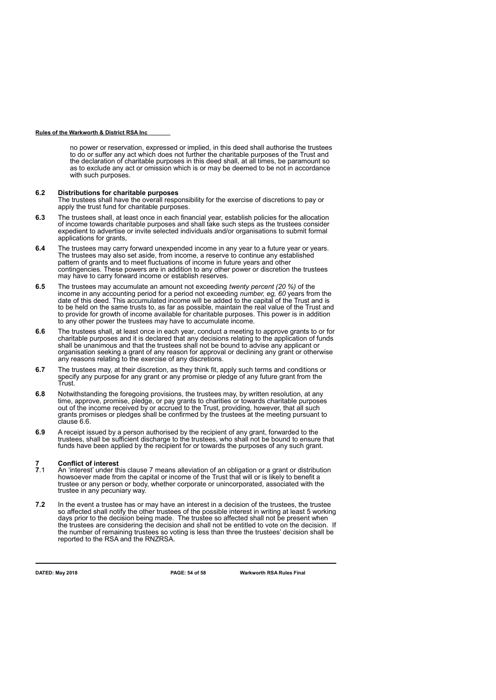no power or reservation, expressed or implied, in this deed shall authorise the trustees to do or suffer any act which does not further the charitable purposes of the Trust and the declaration of charitable purposes in this deed shall, at all times, be paramount so as to exclude any act or omission which is or may be deemed to be not in accordance with such purposes.

### **6.2 Distributions for charitable purposes**

The trustees shall have the overall responsibility for the exercise of discretions to pay or apply the trust fund for charitable purposes.

- **6.3** The trustees shall, at least once in each financial year, establish policies for the allocation of income towards charitable purposes and shall take such steps as the trustees consider expedient to advertise or invite selected individuals and/or organisations to submit formal applications for grants,
- **6.4** The trustees may carry forward unexpended income in any year to a future year or years. The trustees may also set aside, from income, a reserve to continue any established pattern of grants and to meet fluctuations of income in future years and other contingencies. These powers are in addition to any other power or discretion the trustees may have to carry forward income or establish reserves.
- **6.5** The trustees may accumulate an amount not exceeding *twenty percent (20 %)* of the income in any accounting period for a period not exceeding *number, eg, 60* years from the date of this deed. This accumulated income will be added to the capital of the Trust and is to be held on the same trusts to, as far as possible, maintain the real value of the Trust and to provide for growth of income available for charitable purposes. This power is in addition to any other power the trustees may have to accumulate income.
- **6.6** The trustees shall, at least once in each year, conduct a meeting to approve grants to or for charitable purposes and it is declared that any decisions relating to the application of funds shall be unanimous and that the trustees shall not be bound to advise any applicant or organisation seeking a grant of any reason for approval or declining any grant or otherwise any reasons relating to the exercise of any discretions.
- **6.7** The trustees may, at their discretion, as they think fit, apply such terms and conditions or specify any purpose for any grant or any promise or pledge of any future grant from the Trust.
- **6.8** Notwithstanding the foregoing provisions, the trustees may, by written resolution, at any time, approve, promise, pledge, or pay grants to charities or towards charitable purposes out of the income received by or accrued to the Trust, providing, however, that all such grants promises or pledges shall be confirmed by the trustees at the meeting pursuant to clause 6.6.
- **6.9** A receipt issued by a person authorised by the recipient of any grant, forwarded to the trustees, shall be sufficient discharge to the trustees, who shall not be bound to ensure that funds have been applied by the recipient for or towards the purposes of any such grant.

# **7 Conflict of interest**

- **7**.1 An 'interest' under this clause 7 means alleviation of an obligation or a grant or distribution howsoever made from the capital or income of the Trust that will or is likely to benefit a trustee or any person or body, whether corporate or unincorporated, associated with the trustee in any pecuniary way.
- **7.2** In the event a trustee has or may have an interest in a decision of the trustees, the trustee so affected shall notify the other trustees of the possible interest in writing at least 5 working days prior to the decision being made. The trustee so affected shall not be present when the trustees are considering the decision and shall not be entitled to vote on the decision. If the number of remaining trustees so voting is less than three the trustees' decision shall be reported to the RSA and the RNZRSA.

**DATED: May 2018 PAGE: 54 of 58 Warkworth RSA Rules Final**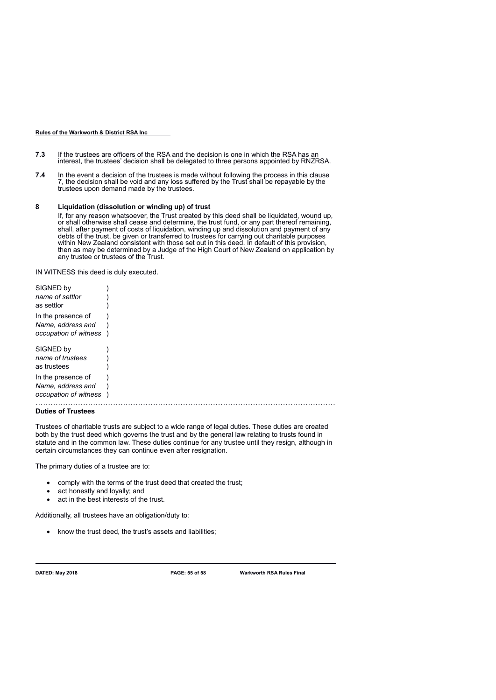- **7.3** If the trustees are officers of the RSA and the decision is one in which the RSA has an interest, the trustees' decision shall be delegated to three persons appointed by RNZRSA.
- **7.4** In the event a decision of the trustees is made without following the process in this clause 7, the decision shall be void and any loss suffered by the Trust shall be repayable by the trustees upon demand made by the trustees.

### **8 Liquidation (dissolution or winding up) of trust**

If, for any reason whatsoever, the Trust created by this deed shall be liquidated, wound up, or shall otherwise shall cease and determine, the trust fund, or any part thereof remaining, shall, after payment of costs of liquidation, winding up and dissolution and payment of any debts of the trust, be given or transferred to trustees for carrying out charitable purposes within New Zealand consistent with those set out in this deed. In default of this provision, then as may be determined by a Judge of the High Court of New Zealand on application by any trustee or trustees of the Trust.

IN WITNESS this deed is duly executed.

| SIGNED by             |  |
|-----------------------|--|
| name of settlor       |  |
| as settlor            |  |
| In the presence of    |  |
| Name, address and     |  |
| occupation of witness |  |
| SIGNED by             |  |
| name of trustees      |  |
| as trustees           |  |
| In the presence of    |  |
| Name, address and     |  |
| occupation of witness |  |
|                       |  |

### **Duties of Trustees**

Trustees of charitable trusts are subject to a wide range of legal duties. These duties are created both by the trust deed which governs the trust and by the general law relating to trusts found in statute and in the common law. These duties continue for any trustee until they resign, although in certain circumstances they can continue even after resignation.

The primary duties of a trustee are to:

- comply with the terms of the trust deed that created the trust;
- act honestly and loyally; and
- act in the best interests of the trust.

Additionally, all trustees have an obligation/duty to:

• know the trust deed, the trust's assets and liabilities;

**DATED: May 2018 PAGE: 55 of 58 Warkworth RSA Rules Final**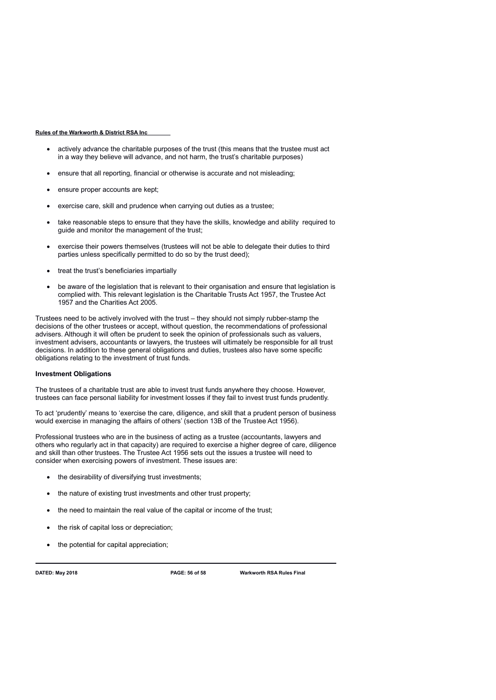- actively advance the charitable purposes of the trust (this means that the trustee must act in a way they believe will advance, and not harm, the trust's charitable purposes)
- ensure that all reporting, financial or otherwise is accurate and not misleading;
- ensure proper accounts are kept;
- exercise care, skill and prudence when carrying out duties as a trustee;
- take reasonable steps to ensure that they have the skills, knowledge and ability required to guide and monitor the management of the trust;
- exercise their powers themselves (trustees will not be able to delegate their duties to third parties unless specifically permitted to do so by the trust deed);
- treat the trust's beneficiaries impartially
- be aware of the legislation that is relevant to their organisation and ensure that legislation is complied with. This relevant legislation is the Charitable Trusts Act 1957, the Trustee Act 1957 and the Charities Act 2005.

Trustees need to be actively involved with the trust – they should not simply rubber-stamp the decisions of the other trustees or accept, without question, the recommendations of professional advisers. Although it will often be prudent to seek the opinion of professionals such as valuers, investment advisers, accountants or lawyers, the trustees will ultimately be responsible for all trust decisions. In addition to these general obligations and duties, trustees also have some specific obligations relating to the investment of trust funds.

### **Investment Obligations**

The trustees of a charitable trust are able to invest trust funds anywhere they choose. However, trustees can face personal liability for investment losses if they fail to invest trust funds prudently.

To act 'prudently' means to 'exercise the care, diligence, and skill that a prudent person of business would exercise in managing the affairs of others' (section 13B of the Trustee Act 1956).

Professional trustees who are in the business of acting as a trustee (accountants, lawyers and others who regularly act in that capacity) are required to exercise a higher degree of care, diligence and skill than other trustees. The Trustee Act 1956 sets out the issues a trustee will need to consider when exercising powers of investment. These issues are:

- the desirability of diversifying trust investments;
- the nature of existing trust investments and other trust property;
- the need to maintain the real value of the capital or income of the trust;
- the risk of capital loss or depreciation;
- the potential for capital appreciation;

**DATED: May 2018 PAGE: 56 of 58 Warkworth RSA Rules Final**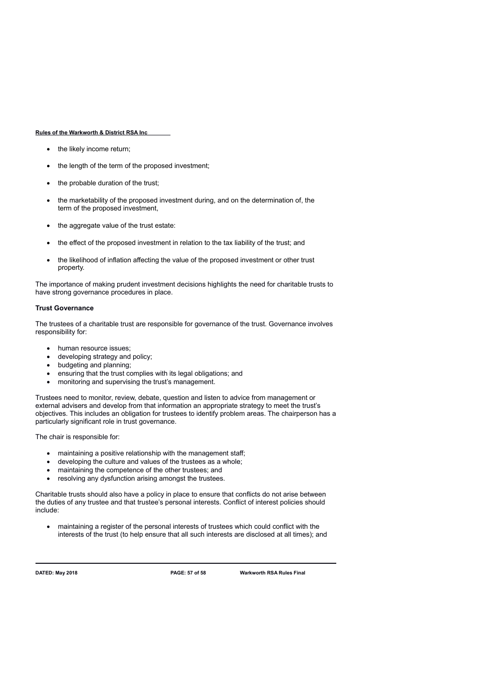- the likely income return;
- the length of the term of the proposed investment;
- the probable duration of the trust;
- the marketability of the proposed investment during, and on the determination of, the term of the proposed investment,
- the aggregate value of the trust estate:
- the effect of the proposed investment in relation to the tax liability of the trust; and
- the likelihood of inflation affecting the value of the proposed investment or other trust property.

The importance of making prudent investment decisions highlights the need for charitable trusts to have strong governance procedures in place.

### **Trust Governance**

The trustees of a charitable trust are responsible for governance of the trust. Governance involves responsibility for:

- human resource issues:
- developing strategy and policy;
- budgeting and planning;
- ensuring that the trust complies with its legal obligations; and
- monitoring and supervising the trust's management.

Trustees need to monitor, review, debate, question and listen to advice from management or external advisers and develop from that information an appropriate strategy to meet the trust's objectives. This includes an obligation for trustees to identify problem areas. The chairperson has a particularly significant role in trust governance.

The chair is responsible for:

- maintaining a positive relationship with the management staff;
- developing the culture and values of the trustees as a whole;
- maintaining the competence of the other trustees; and
- resolving any dysfunction arising amongst the trustees.

Charitable trusts should also have a policy in place to ensure that conflicts do not arise between the duties of any trustee and that trustee's personal interests. Conflict of interest policies should include:

 maintaining a register of the personal interests of trustees which could conflict with the interests of the trust (to help ensure that all such interests are disclosed at all times); and

**DATED: May 2018 PAGE: 57 of 58 Warkworth RSA Rules Final**